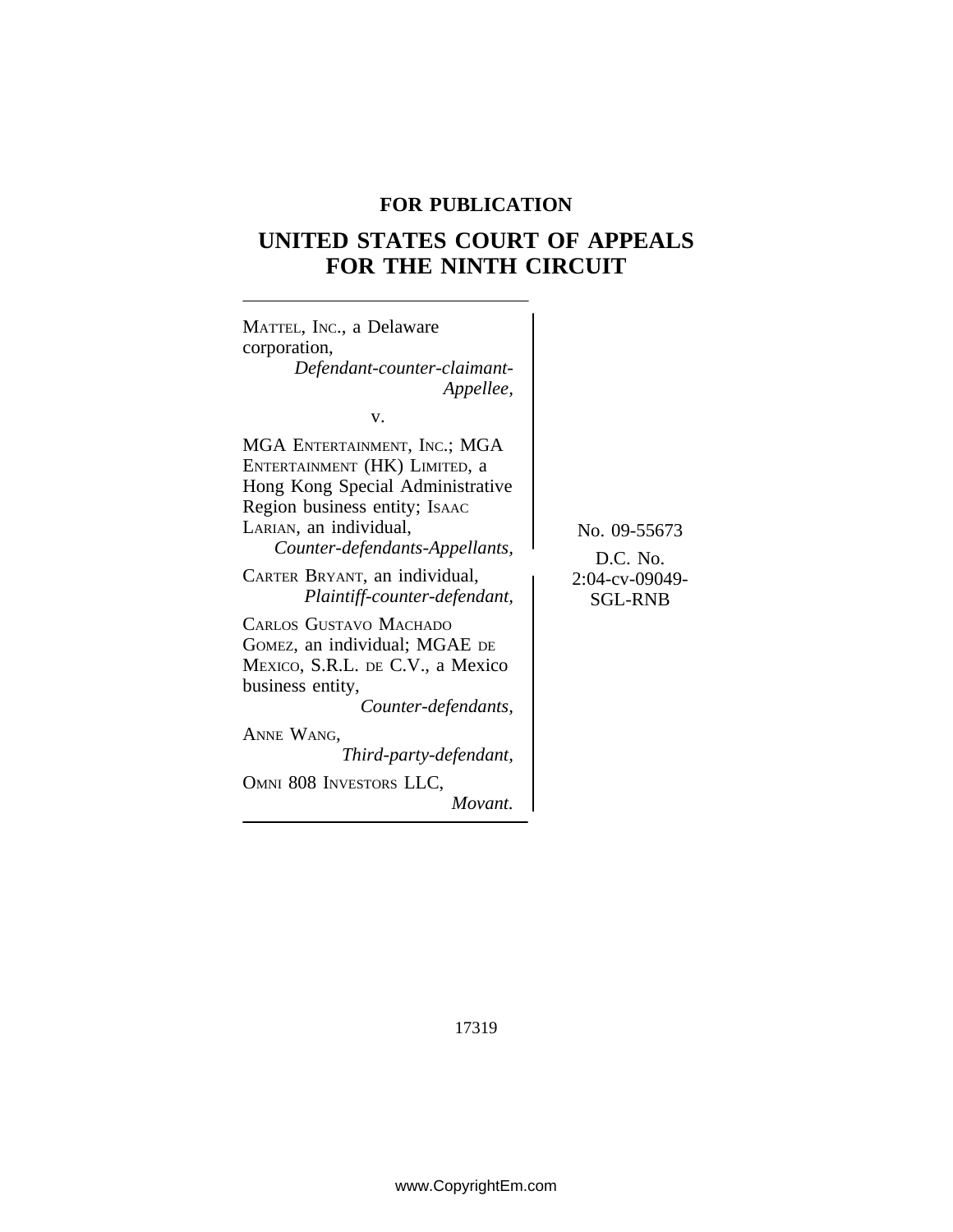## **FOR PUBLICATION**

# **UNITED STATES COURT OF APPEALS FOR THE NINTH CIRCUIT**

| MATTEL, INC., a Delaware<br>corporation,<br>Defendant-counter-claimant-<br>Appellee,                                                                                                                                                                                                                                                                                                                                                                                                          |                                                              |
|-----------------------------------------------------------------------------------------------------------------------------------------------------------------------------------------------------------------------------------------------------------------------------------------------------------------------------------------------------------------------------------------------------------------------------------------------------------------------------------------------|--------------------------------------------------------------|
| v.<br>MGA ENTERTAINMENT, INC.; MGA<br>ENTERTAINMENT (HK) LIMITED, a<br>Hong Kong Special Administrative<br>Region business entity; Isaac<br>LARIAN, an individual,<br>Counter-defendants-Appellants,<br>CARTER BRYANT, an individual,<br>Plaintiff-counter-defendant,<br>CARLOS GUSTAVO MACHADO<br>GOMEZ, an individual; MGAE DE<br>MEXICO, S.R.L. DE C.V., a Mexico<br>business entity,<br>Counter-defendants,<br>ANNE WANG,<br>Third-party-defendant,<br>OMNI 808 INVESTORS LLC,<br>Movant. | No. 09-55673<br>D.C. No.<br>2:04-cv-09049-<br><b>SGL-RNB</b> |
|                                                                                                                                                                                                                                                                                                                                                                                                                                                                                               |                                                              |

17319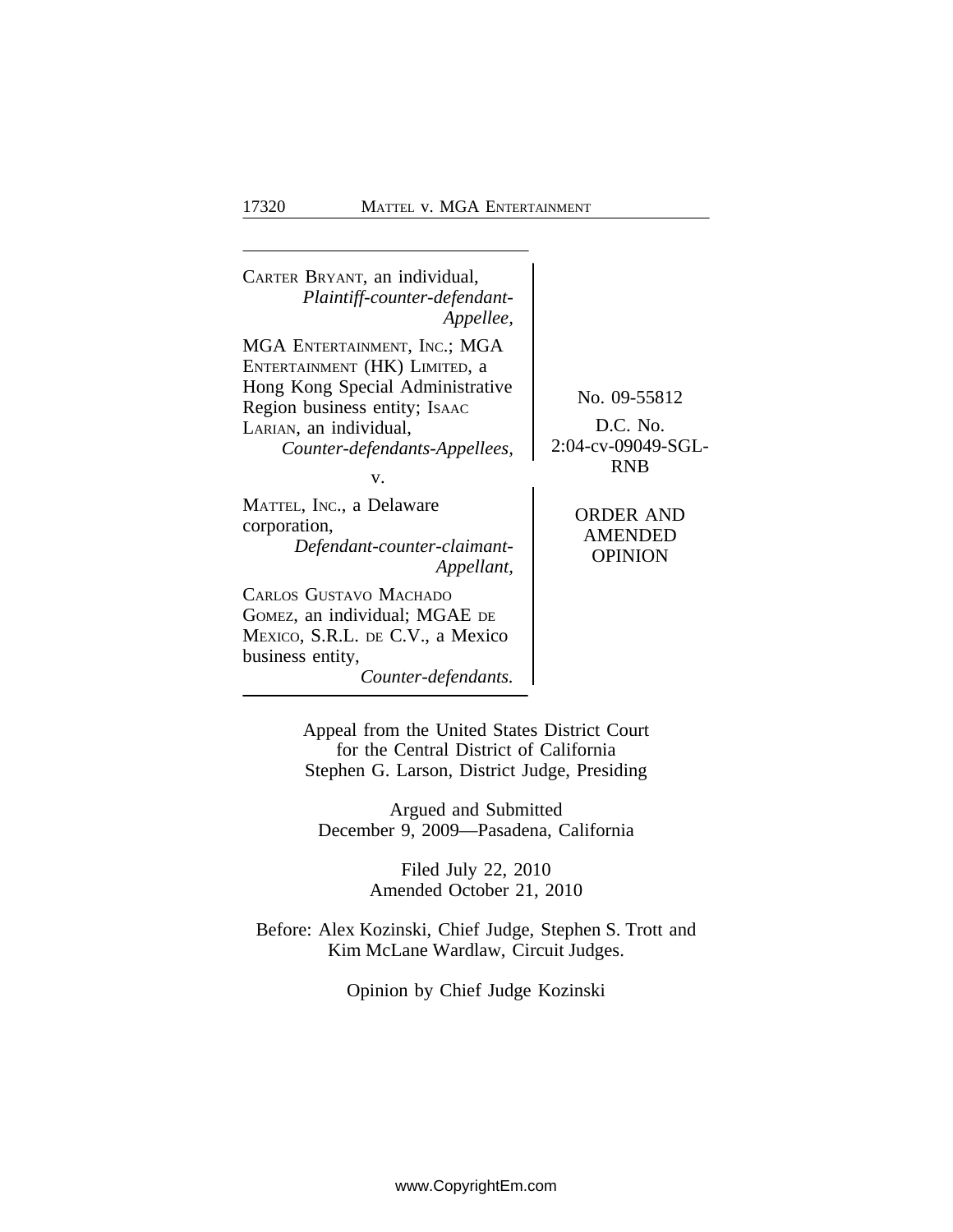<sup>C</sup>ARTER BRYANT, an individual, *Plaintiff-counter-defendant-Appellee,* MGA ENTERTAINMENT, INC.; MGA ENTERTAINMENT (HK) LIMITED, a Hong Kong Special Administrative<br>
Region business entity; Isaac No. 09-55812<br>
LARIAN, an individual D.C. No. LARIAN, an individual,<br>Counter-defendants-Appellees 2:04-cv-09049-SGL- $Counter-defendants-Appelles,$ RNB v. MATTEL, INC., a Delaware CORDER AND<br>
CORDER AND CORDER AND AMENDED AMENDED *Defendant-counter-claimant-* OPINION *Appellant,* CARLOS GUSTAVO MACHADO GOMEZ, an individual; MGAE DE MEXICO, S.R.L. DE C.V., a Mexico business entity, *Counter-defendants.*

> Appeal from the United States District Court for the Central District of California Stephen G. Larson, District Judge, Presiding

Argued and Submitted December 9, 2009—Pasadena, California

> Filed July 22, 2010 Amended October 21, 2010

Before: Alex Kozinski, Chief Judge, Stephen S. Trott and Kim McLane Wardlaw, Circuit Judges.

Opinion by Chief Judge Kozinski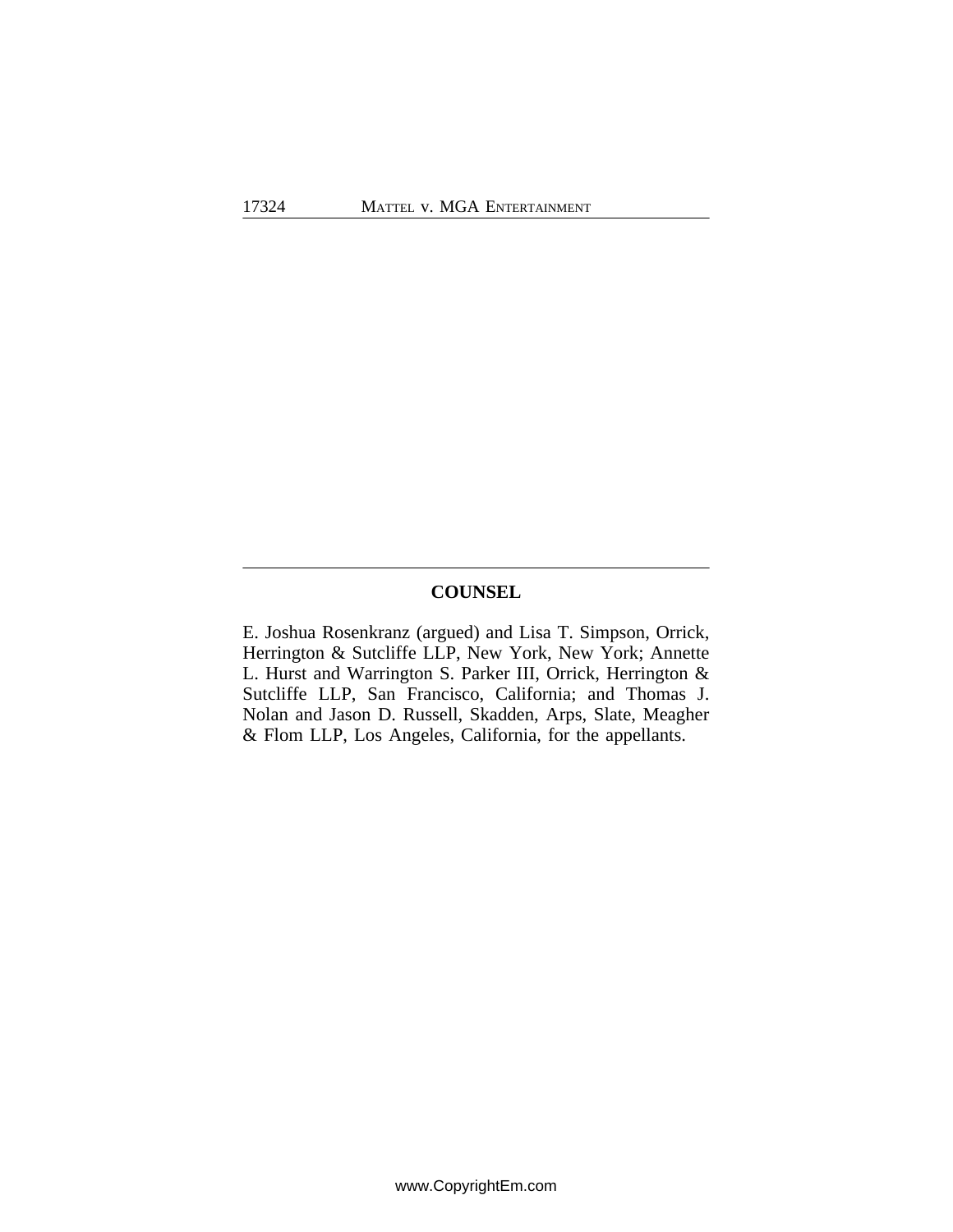## **COUNSEL**

E. Joshua Rosenkranz (argued) and Lisa T. Simpson, Orrick, Herrington & Sutcliffe LLP, New York, New York; Annette L. Hurst and Warrington S. Parker III, Orrick, Herrington & Sutcliffe LLP, San Francisco, California; and Thomas J. Nolan and Jason D. Russell, Skadden, Arps, Slate, Meagher & Flom LLP, Los Angeles, California, for the appellants.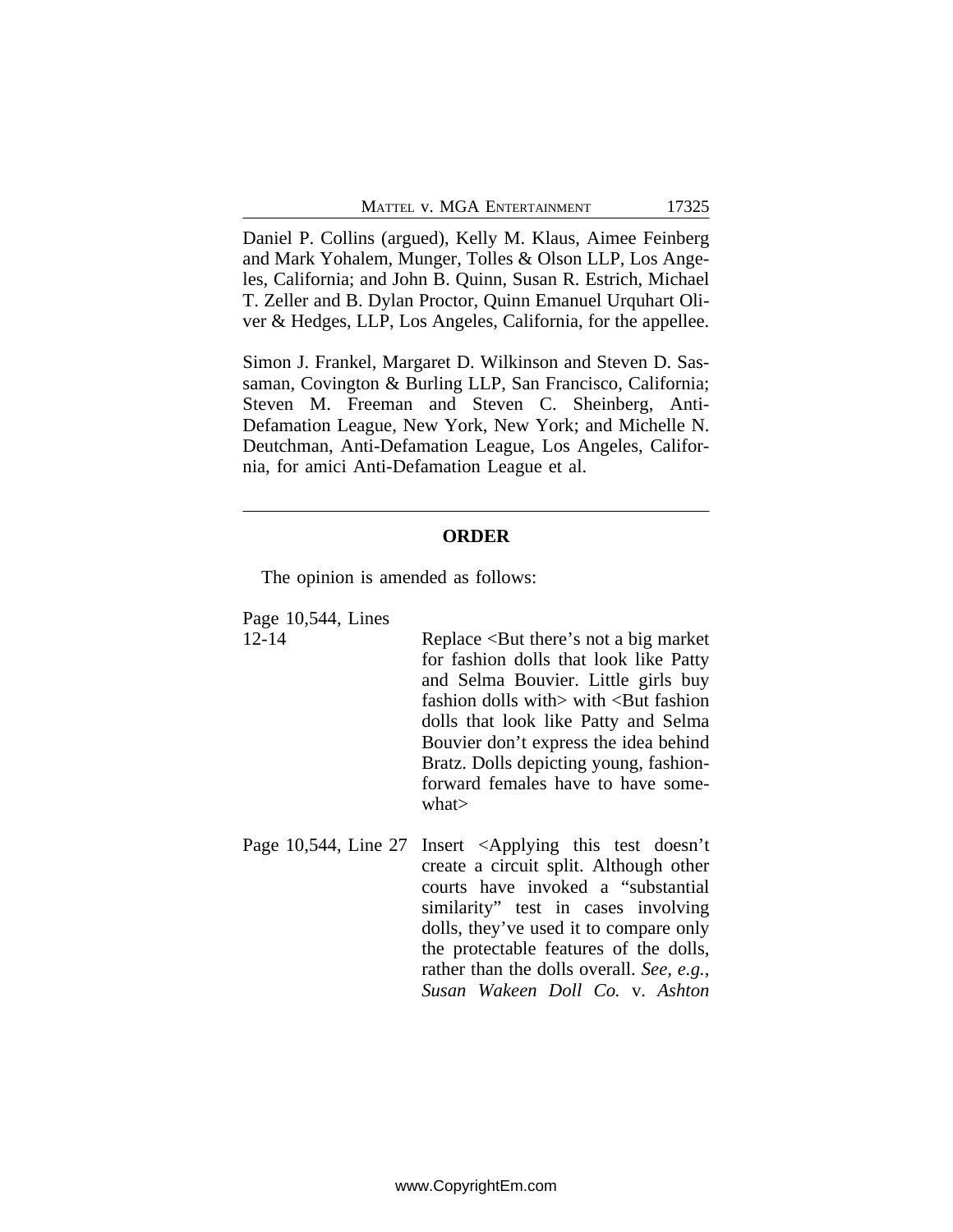Daniel P. Collins (argued), Kelly M. Klaus, Aimee Feinberg and Mark Yohalem, Munger, Tolles & Olson LLP, Los Angeles, California; and John B. Quinn, Susan R. Estrich, Michael T. Zeller and B. Dylan Proctor, Quinn Emanuel Urquhart Oliver & Hedges, LLP, Los Angeles, California, for the appellee.

Simon J. Frankel, Margaret D. Wilkinson and Steven D. Sassaman, Covington & Burling LLP, San Francisco, California; Steven M. Freeman and Steven C. Sheinberg, Anti-Defamation League, New York, New York; and Michelle N. Deutchman, Anti-Defamation League, Los Angeles, California, for amici Anti-Defamation League et al.

#### **ORDER**

The opinion is amended as follows:

Page 10,544, Lines

12-14 Replace <But there's not a big market for fashion dolls that look like Patty and Selma Bouvier. Little girls buy fashion dolls with> with <But fashion dolls that look like Patty and Selma Bouvier don't express the idea behind Bratz. Dolls depicting young, fashionforward females have to have somewhat>

Page 10,544, Line 27 Insert <Applying this test doesn't create a circuit split. Although other courts have invoked a "substantial similarity" test in cases involving dolls, they've used it to compare only the protectable features of the dolls, rather than the dolls overall. *See, e.g.*, *Susan Wakeen Doll Co.* v. *Ashton*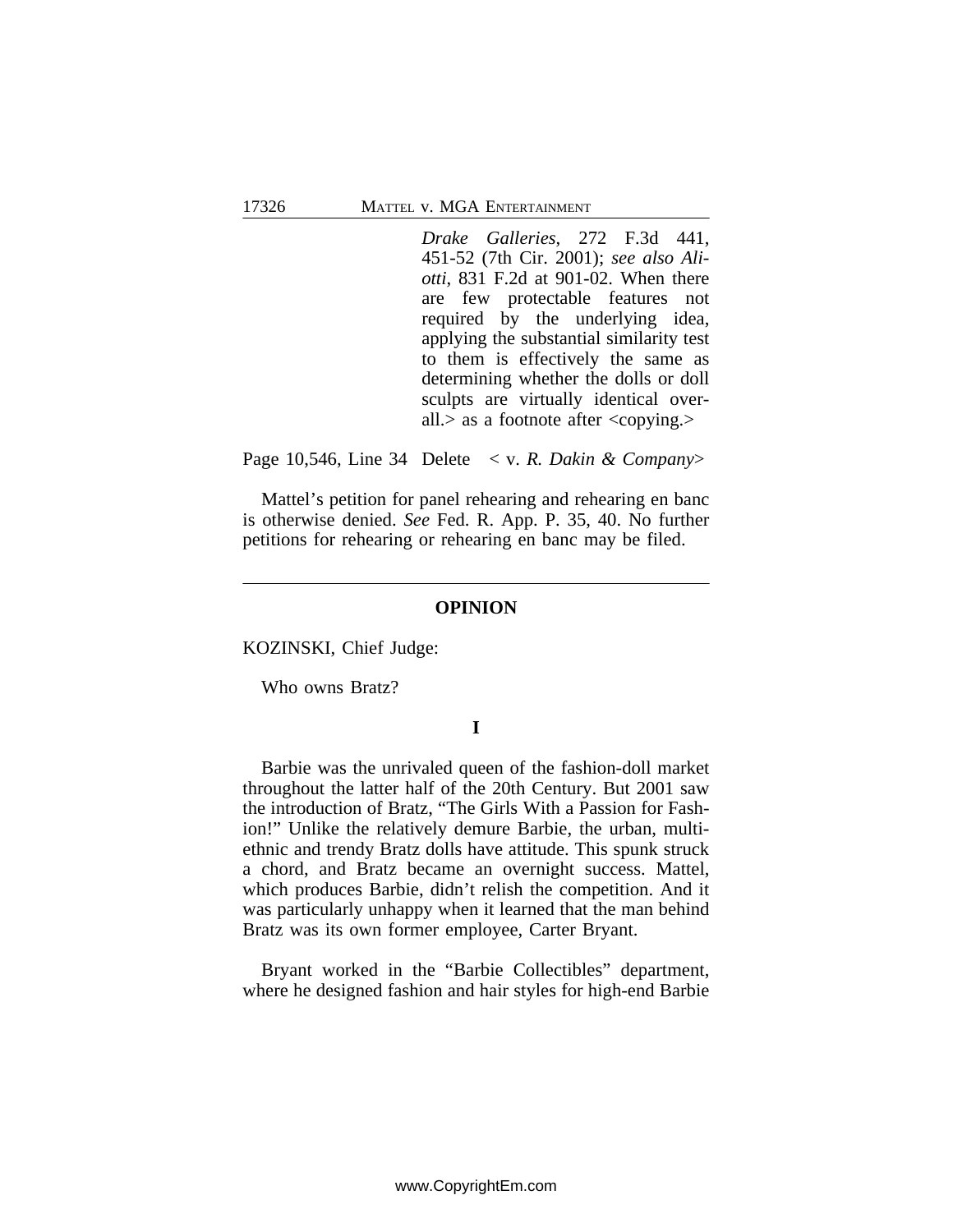*Drake Galleries*, 272 F.3d 441, 451-52 (7th Cir. 2001); *see also Aliotti*, 831 F.2d at 901-02. When there are few protectable features not required by the underlying idea, applying the substantial similarity test to them is effectively the same as determining whether the dolls or doll sculpts are virtually identical overall. $>$  as a footnote after  $\langle \text{copying.} \rangle$ 

Page 10,546, Line 34 Delete < v. *R. Dakin & Company*>

Mattel's petition for panel rehearing and rehearing en banc is otherwise denied. *See* Fed. R. App. P. 35, 40. No further petitions for rehearing or rehearing en banc may be filed.

#### **OPINION**

KOZINSKI, Chief Judge:

Who owns Bratz?

### **I**

Barbie was the unrivaled queen of the fashion-doll market throughout the latter half of the 20th Century. But 2001 saw the introduction of Bratz, "The Girls With a Passion for Fashion!" Unlike the relatively demure Barbie, the urban, multiethnic and trendy Bratz dolls have attitude. This spunk struck a chord, and Bratz became an overnight success. Mattel, which produces Barbie, didn't relish the competition. And it was particularly unhappy when it learned that the man behind Bratz was its own former employee, Carter Bryant.

Bryant worked in the "Barbie Collectibles" department, where he designed fashion and hair styles for high-end Barbie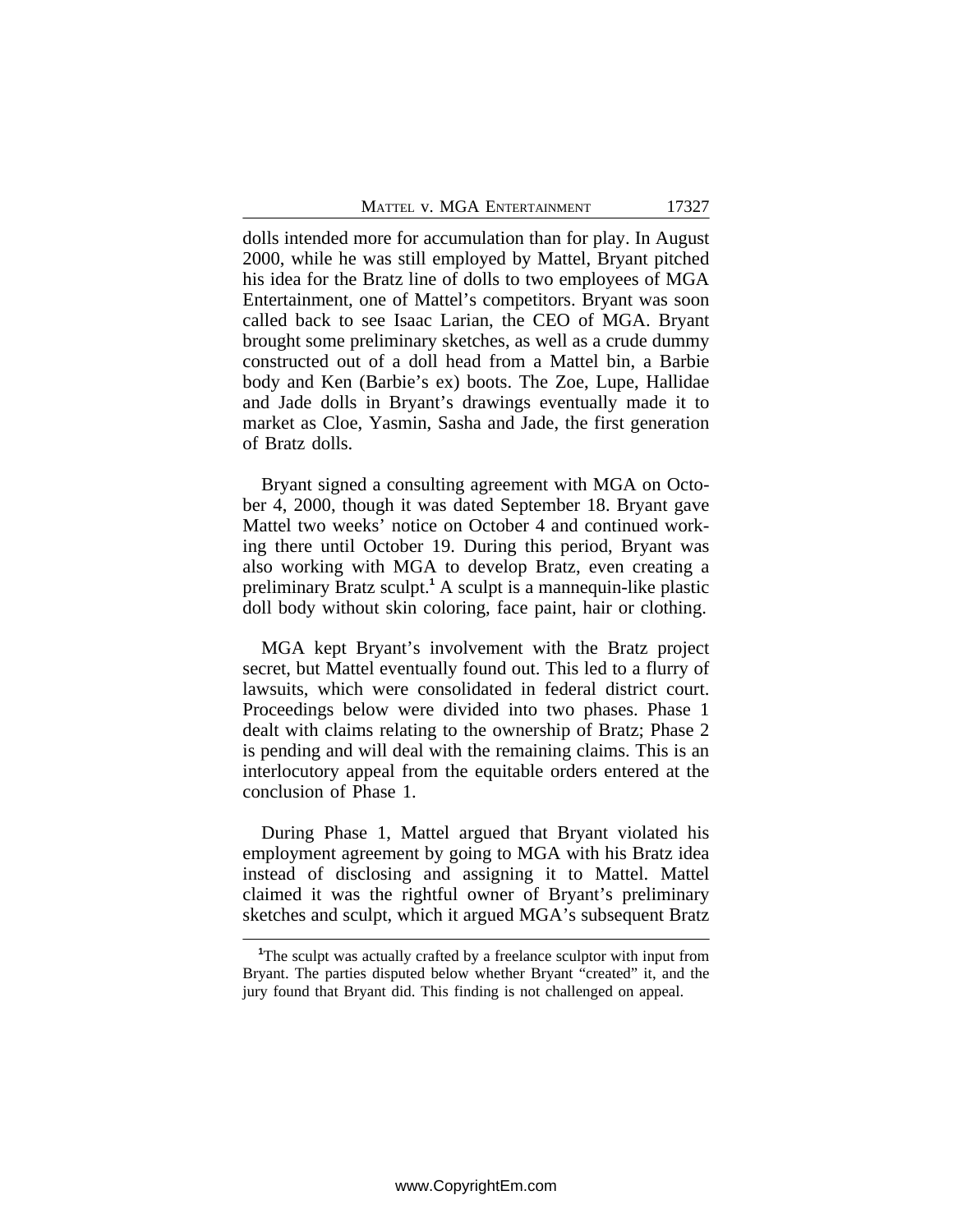dolls intended more for accumulation than for play. In August 2000, while he was still employed by Mattel, Bryant pitched his idea for the Bratz line of dolls to two employees of MGA Entertainment, one of Mattel's competitors. Bryant was soon called back to see Isaac Larian, the CEO of MGA. Bryant brought some preliminary sketches, as well as a crude dummy constructed out of a doll head from a Mattel bin, a Barbie body and Ken (Barbie's ex) boots. The Zoe, Lupe, Hallidae and Jade dolls in Bryant's drawings eventually made it to market as Cloe, Yasmin, Sasha and Jade, the first generation of Bratz dolls.

Bryant signed a consulting agreement with MGA on October 4, 2000, though it was dated September 18. Bryant gave Mattel two weeks' notice on October 4 and continued working there until October 19. During this period, Bryant was also working with MGA to develop Bratz, even creating a preliminary Bratz sculpt.**<sup>1</sup>** A sculpt is a mannequin-like plastic doll body without skin coloring, face paint, hair or clothing.

MGA kept Bryant's involvement with the Bratz project secret, but Mattel eventually found out. This led to a flurry of lawsuits, which were consolidated in federal district court. Proceedings below were divided into two phases. Phase 1 dealt with claims relating to the ownership of Bratz; Phase 2 is pending and will deal with the remaining claims. This is an interlocutory appeal from the equitable orders entered at the conclusion of Phase 1.

During Phase 1, Mattel argued that Bryant violated his employment agreement by going to MGA with his Bratz idea instead of disclosing and assigning it to Mattel. Mattel claimed it was the rightful owner of Bryant's preliminary sketches and sculpt, which it argued MGA's subsequent Bratz

**<sup>1</sup>**The sculpt was actually crafted by a freelance sculptor with input from Bryant. The parties disputed below whether Bryant "created" it, and the jury found that Bryant did. This finding is not challenged on appeal.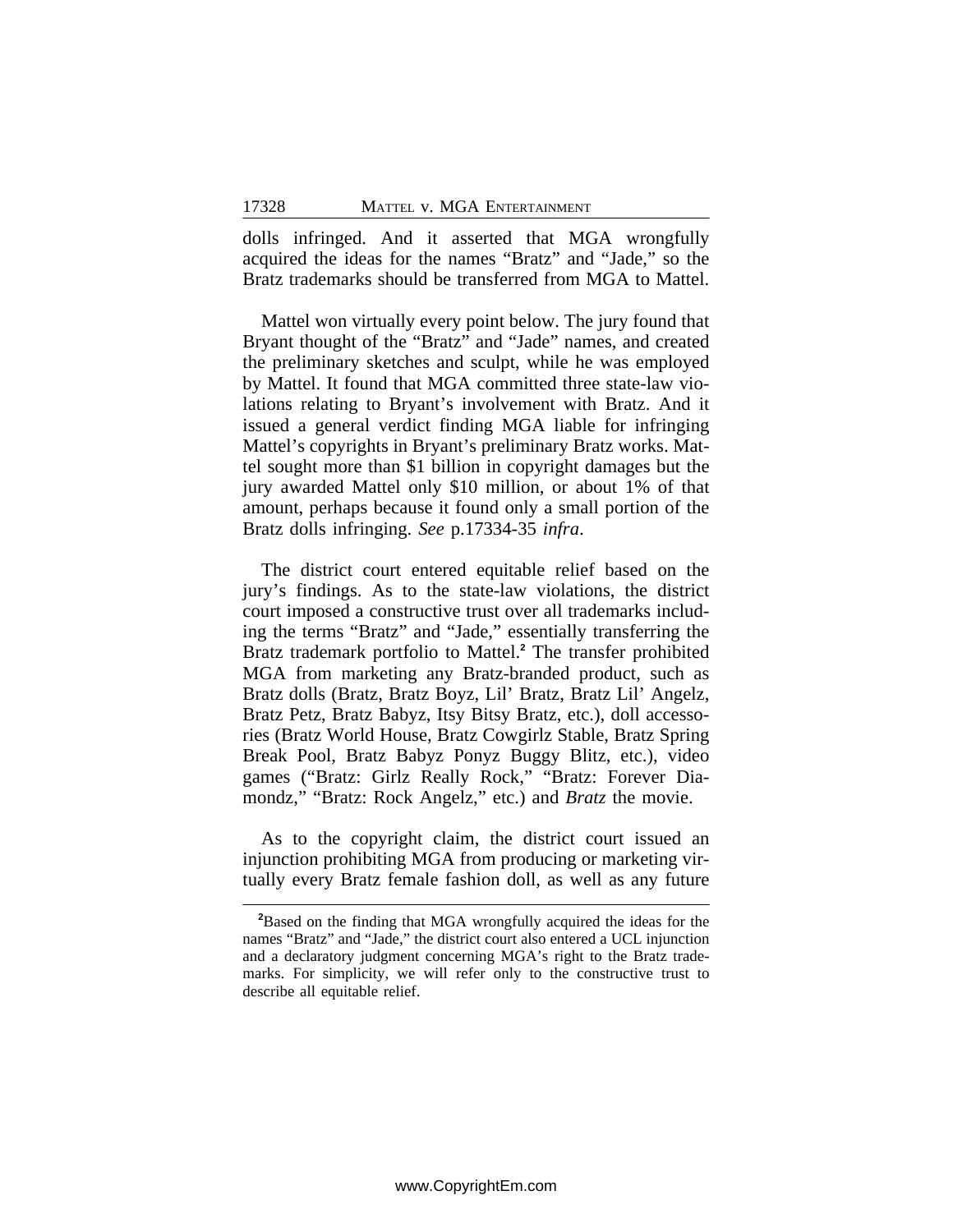dolls infringed. And it asserted that MGA wrongfully acquired the ideas for the names "Bratz" and "Jade," so the Bratz trademarks should be transferred from MGA to Mattel.

Mattel won virtually every point below. The jury found that Bryant thought of the "Bratz" and "Jade" names, and created the preliminary sketches and sculpt, while he was employed by Mattel. It found that MGA committed three state-law violations relating to Bryant's involvement with Bratz. And it issued a general verdict finding MGA liable for infringing Mattel's copyrights in Bryant's preliminary Bratz works. Mattel sought more than \$1 billion in copyright damages but the jury awarded Mattel only \$10 million, or about 1% of that amount, perhaps because it found only a small portion of the Bratz dolls infringing. *See* p.17334-35 *infra*.

The district court entered equitable relief based on the jury's findings. As to the state-law violations, the district court imposed a constructive trust over all trademarks including the terms "Bratz" and "Jade," essentially transferring the Bratz trademark portfolio to Mattel.**<sup>2</sup>** The transfer prohibited MGA from marketing any Bratz-branded product, such as Bratz dolls (Bratz, Bratz Boyz, Lil' Bratz, Bratz Lil' Angelz, Bratz Petz, Bratz Babyz, Itsy Bitsy Bratz, etc.), doll accessories (Bratz World House, Bratz Cowgirlz Stable, Bratz Spring Break Pool, Bratz Babyz Ponyz Buggy Blitz, etc.), video games ("Bratz: Girlz Really Rock," "Bratz: Forever Diamondz," "Bratz: Rock Angelz," etc.) and *Bratz* the movie.

As to the copyright claim, the district court issued an injunction prohibiting MGA from producing or marketing virtually every Bratz female fashion doll, as well as any future

**<sup>2</sup>**Based on the finding that MGA wrongfully acquired the ideas for the names "Bratz" and "Jade," the district court also entered a UCL injunction and a declaratory judgment concerning MGA's right to the Bratz trademarks. For simplicity, we will refer only to the constructive trust to describe all equitable relief.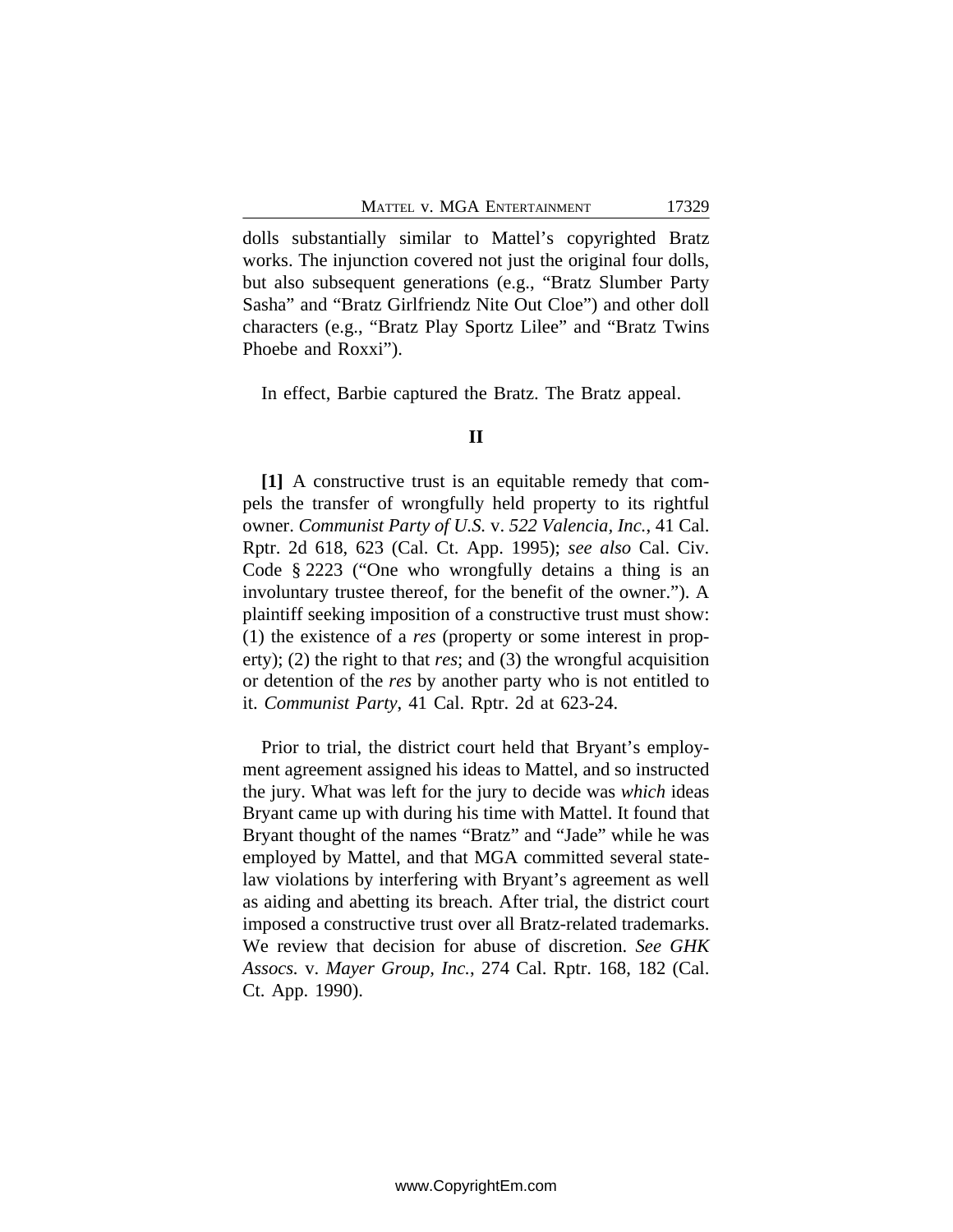dolls substantially similar to Mattel's copyrighted Bratz works. The injunction covered not just the original four dolls, but also subsequent generations (e.g., "Bratz Slumber Party Sasha" and "Bratz Girlfriendz Nite Out Cloe") and other doll characters (e.g., "Bratz Play Sportz Lilee" and "Bratz Twins Phoebe and Roxxi").

In effect, Barbie captured the Bratz. The Bratz appeal.

#### **II**

**[1]** A constructive trust is an equitable remedy that compels the transfer of wrongfully held property to its rightful owner. *Communist Party of U.S.* v. *522 Valencia, Inc.*, 41 Cal. Rptr. 2d 618, 623 (Cal. Ct. App. 1995); *see also* Cal. Civ. Code § 2223 ("One who wrongfully detains a thing is an involuntary trustee thereof, for the benefit of the owner."). A plaintiff seeking imposition of a constructive trust must show: (1) the existence of a *res* (property or some interest in property); (2) the right to that *res*; and (3) the wrongful acquisition or detention of the *res* by another party who is not entitled to it. *Communist Party*, 41 Cal. Rptr. 2d at 623-24.

Prior to trial, the district court held that Bryant's employment agreement assigned his ideas to Mattel, and so instructed the jury. What was left for the jury to decide was *which* ideas Bryant came up with during his time with Mattel. It found that Bryant thought of the names "Bratz" and "Jade" while he was employed by Mattel, and that MGA committed several statelaw violations by interfering with Bryant's agreement as well as aiding and abetting its breach. After trial, the district court imposed a constructive trust over all Bratz-related trademarks. We review that decision for abuse of discretion. *See GHK Assocs.* v. *Mayer Group, Inc.*, 274 Cal. Rptr. 168, 182 (Cal. Ct. App. 1990).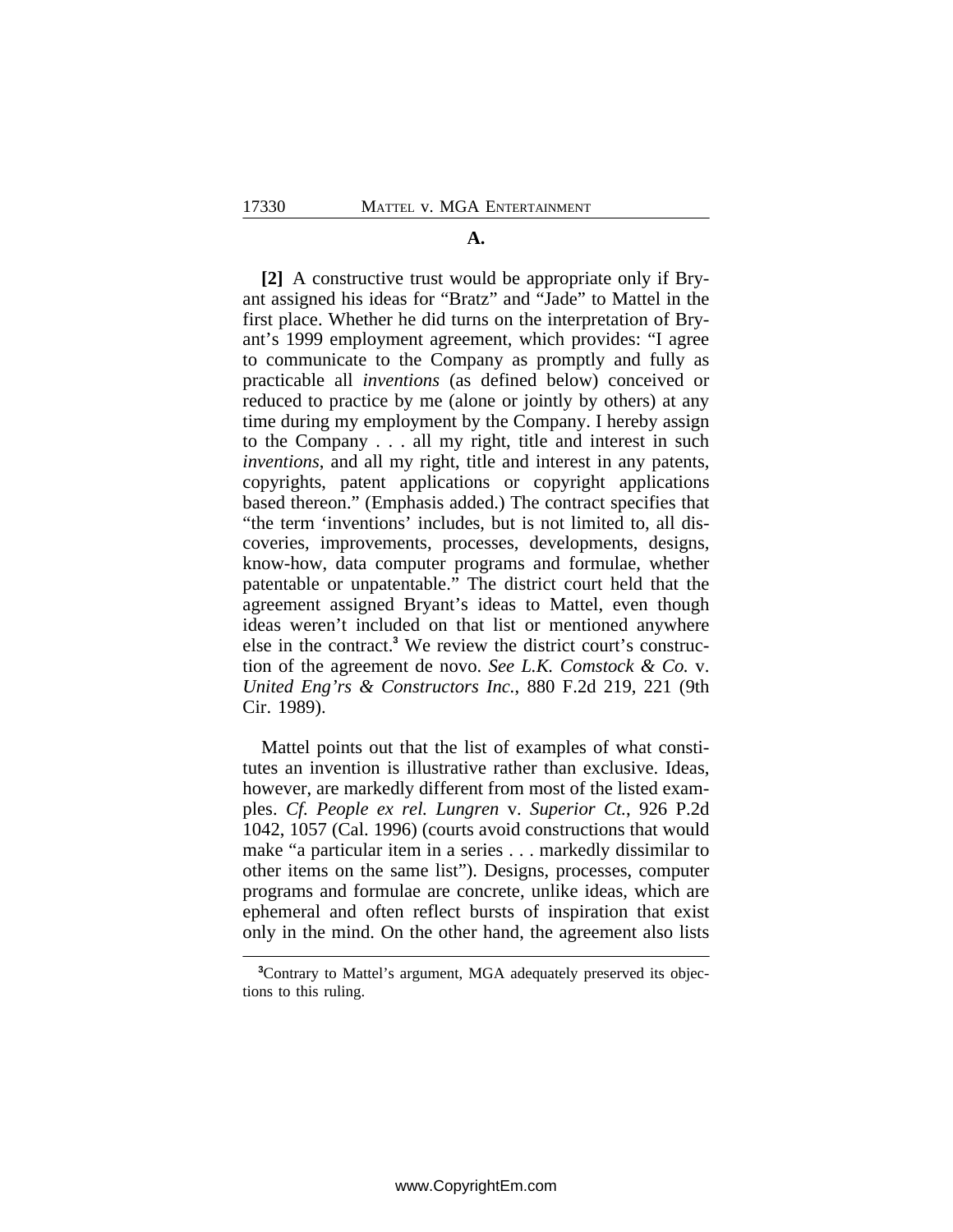#### **A.**

**[2]** A constructive trust would be appropriate only if Bryant assigned his ideas for "Bratz" and "Jade" to Mattel in the first place. Whether he did turns on the interpretation of Bryant's 1999 employment agreement, which provides: "I agree to communicate to the Company as promptly and fully as practicable all *inventions* (as defined below) conceived or reduced to practice by me (alone or jointly by others) at any time during my employment by the Company. I hereby assign to the Company . . . all my right, title and interest in such *inventions*, and all my right, title and interest in any patents, copyrights, patent applications or copyright applications based thereon." (Emphasis added.) The contract specifies that "the term 'inventions' includes, but is not limited to, all discoveries, improvements, processes, developments, designs, know-how, data computer programs and formulae, whether patentable or unpatentable." The district court held that the agreement assigned Bryant's ideas to Mattel, even though ideas weren't included on that list or mentioned anywhere else in the contract.**<sup>3</sup>** We review the district court's construction of the agreement de novo. *See L.K. Comstock & Co.* v. *United Eng'rs & Constructors Inc.*, 880 F.2d 219, 221 (9th Cir. 1989).

Mattel points out that the list of examples of what constitutes an invention is illustrative rather than exclusive. Ideas, however, are markedly different from most of the listed examples. *Cf. People ex rel. Lungren* v. *Superior Ct.*, 926 P.2d 1042, 1057 (Cal. 1996) (courts avoid constructions that would make "a particular item in a series . . . markedly dissimilar to other items on the same list"). Designs, processes, computer programs and formulae are concrete, unlike ideas, which are ephemeral and often reflect bursts of inspiration that exist only in the mind. On the other hand, the agreement also lists

**<sup>3</sup>**Contrary to Mattel's argument, MGA adequately preserved its objections to this ruling.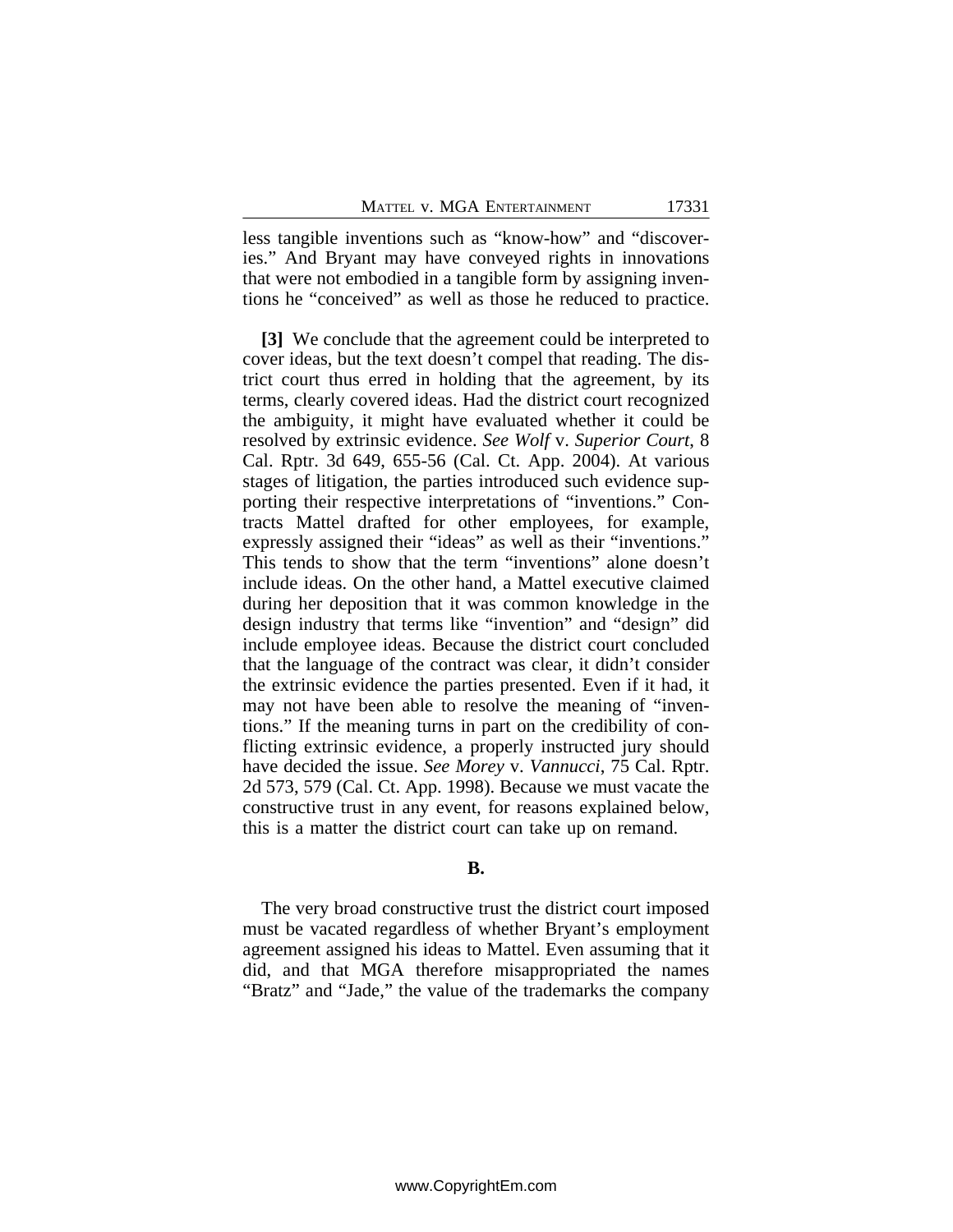less tangible inventions such as "know-how" and "discoveries." And Bryant may have conveyed rights in innovations that were not embodied in a tangible form by assigning inventions he "conceived" as well as those he reduced to practice.

**[3]** We conclude that the agreement could be interpreted to cover ideas, but the text doesn't compel that reading. The district court thus erred in holding that the agreement, by its terms, clearly covered ideas. Had the district court recognized the ambiguity, it might have evaluated whether it could be resolved by extrinsic evidence. *See Wolf* v. *Superior Court*, 8 Cal. Rptr. 3d 649, 655-56 (Cal. Ct. App. 2004). At various stages of litigation, the parties introduced such evidence supporting their respective interpretations of "inventions." Contracts Mattel drafted for other employees, for example, expressly assigned their "ideas" as well as their "inventions." This tends to show that the term "inventions" alone doesn't include ideas. On the other hand, a Mattel executive claimed during her deposition that it was common knowledge in the design industry that terms like "invention" and "design" did include employee ideas. Because the district court concluded that the language of the contract was clear, it didn't consider the extrinsic evidence the parties presented. Even if it had, it may not have been able to resolve the meaning of "inventions." If the meaning turns in part on the credibility of conflicting extrinsic evidence, a properly instructed jury should have decided the issue. *See Morey* v. *Vannucci*, 75 Cal. Rptr. 2d 573, 579 (Cal. Ct. App. 1998). Because we must vacate the constructive trust in any event, for reasons explained below, this is a matter the district court can take up on remand.

#### **B.**

The very broad constructive trust the district court imposed must be vacated regardless of whether Bryant's employment agreement assigned his ideas to Mattel. Even assuming that it did, and that MGA therefore misappropriated the names "Bratz" and "Jade," the value of the trademarks the company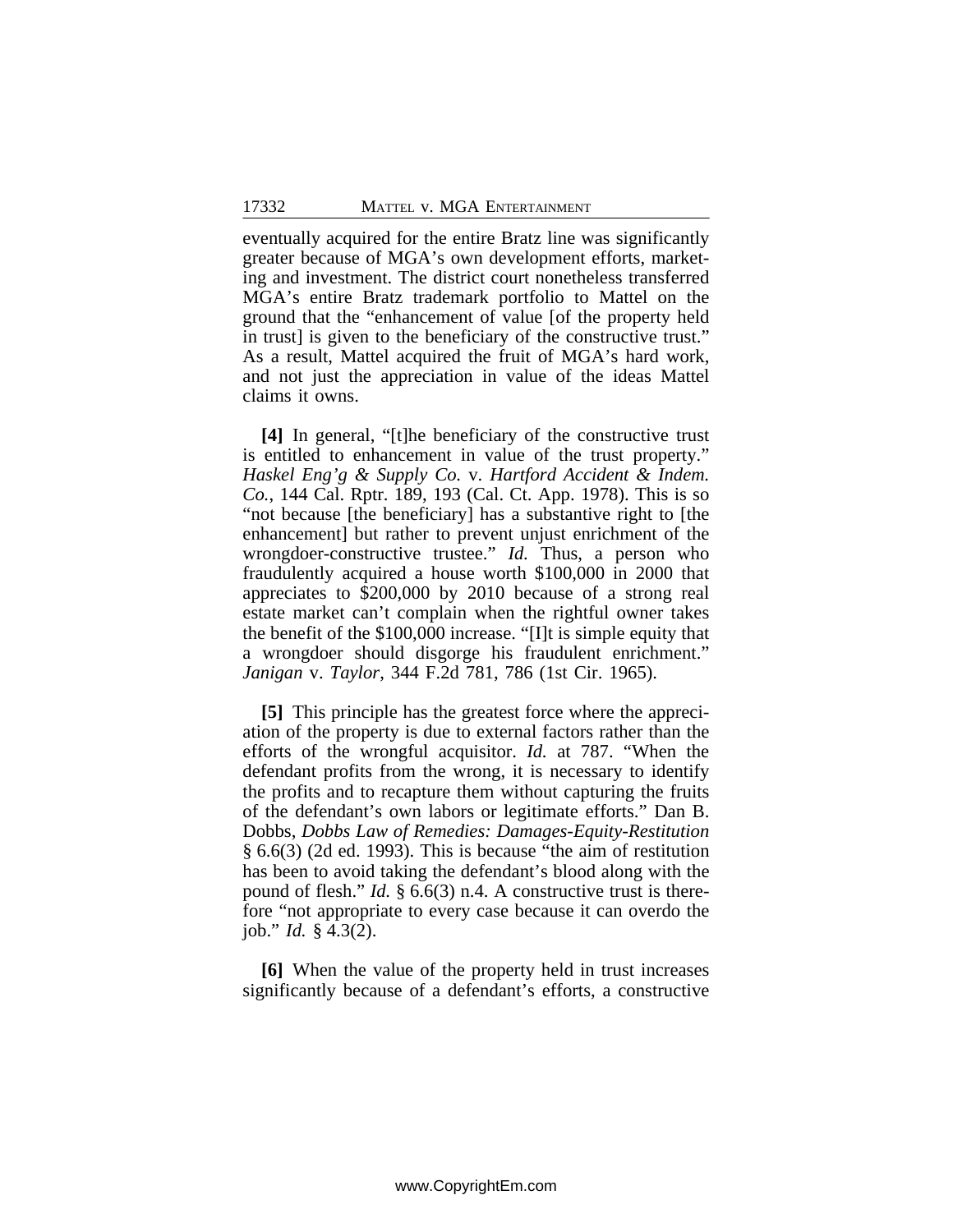eventually acquired for the entire Bratz line was significantly greater because of MGA's own development efforts, marketing and investment. The district court nonetheless transferred MGA's entire Bratz trademark portfolio to Mattel on the ground that the "enhancement of value [of the property held in trust] is given to the beneficiary of the constructive trust." As a result, Mattel acquired the fruit of MGA's hard work, and not just the appreciation in value of the ideas Mattel claims it owns.

**[4]** In general, "[t]he beneficiary of the constructive trust is entitled to enhancement in value of the trust property." *Haskel Eng'g & Supply Co.* v. *Hartford Accident & Indem. Co.*, 144 Cal. Rptr. 189, 193 (Cal. Ct. App. 1978). This is so "not because [the beneficiary] has a substantive right to [the enhancement] but rather to prevent unjust enrichment of the wrongdoer-constructive trustee." *Id.* Thus, a person who fraudulently acquired a house worth \$100,000 in 2000 that appreciates to \$200,000 by 2010 because of a strong real estate market can't complain when the rightful owner takes the benefit of the \$100,000 increase. "[I]t is simple equity that a wrongdoer should disgorge his fraudulent enrichment." *Janigan* v. *Taylor*, 344 F.2d 781, 786 (1st Cir. 1965).

**[5]** This principle has the greatest force where the appreciation of the property is due to external factors rather than the efforts of the wrongful acquisitor. *Id.* at 787. "When the defendant profits from the wrong, it is necessary to identify the profits and to recapture them without capturing the fruits of the defendant's own labors or legitimate efforts." Dan B. Dobbs, *Dobbs Law of Remedies: Damages-Equity-Restitution* § 6.6(3) (2d ed. 1993). This is because "the aim of restitution has been to avoid taking the defendant's blood along with the pound of flesh." *Id.* § 6.6(3) n.4. A constructive trust is therefore "not appropriate to every case because it can overdo the job." *Id.* § 4.3(2).

**[6]** When the value of the property held in trust increases significantly because of a defendant's efforts, a constructive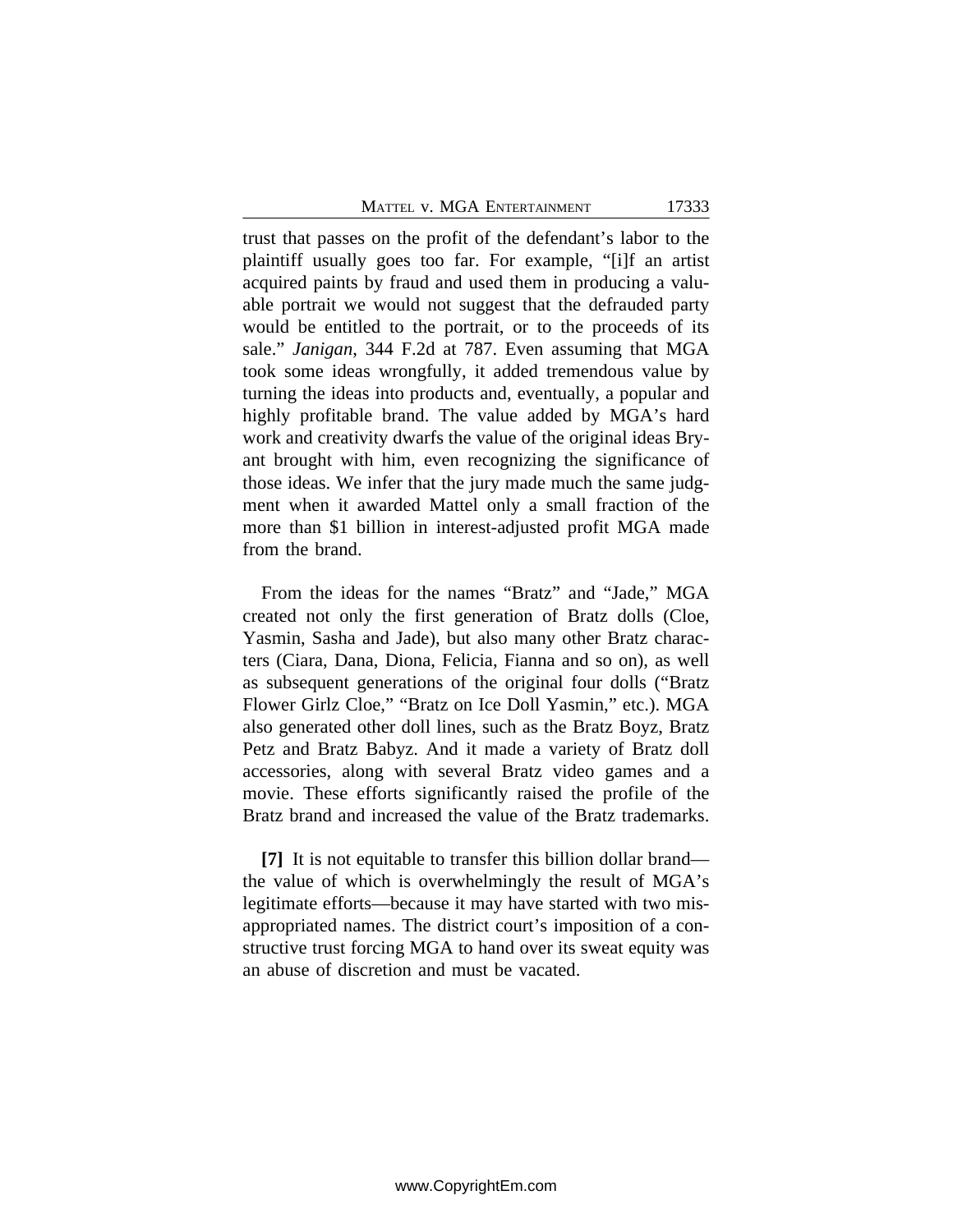MATTEL V. MGA ENTERTAINMENT 17333

trust that passes on the profit of the defendant's labor to the plaintiff usually goes too far. For example, "[i]f an artist acquired paints by fraud and used them in producing a valuable portrait we would not suggest that the defrauded party would be entitled to the portrait, or to the proceeds of its sale." *Janigan*, 344 F.2d at 787. Even assuming that MGA took some ideas wrongfully, it added tremendous value by turning the ideas into products and, eventually, a popular and highly profitable brand. The value added by MGA's hard work and creativity dwarfs the value of the original ideas Bryant brought with him, even recognizing the significance of those ideas. We infer that the jury made much the same judgment when it awarded Mattel only a small fraction of the more than \$1 billion in interest-adjusted profit MGA made from the brand.

From the ideas for the names "Bratz" and "Jade," MGA created not only the first generation of Bratz dolls (Cloe, Yasmin, Sasha and Jade), but also many other Bratz characters (Ciara, Dana, Diona, Felicia, Fianna and so on), as well as subsequent generations of the original four dolls ("Bratz Flower Girlz Cloe," "Bratz on Ice Doll Yasmin," etc.). MGA also generated other doll lines, such as the Bratz Boyz, Bratz Petz and Bratz Babyz. And it made a variety of Bratz doll accessories, along with several Bratz video games and a movie. These efforts significantly raised the profile of the Bratz brand and increased the value of the Bratz trademarks.

**[7]** It is not equitable to transfer this billion dollar brand the value of which is overwhelmingly the result of MGA's legitimate efforts—because it may have started with two misappropriated names. The district court's imposition of a constructive trust forcing MGA to hand over its sweat equity was an abuse of discretion and must be vacated.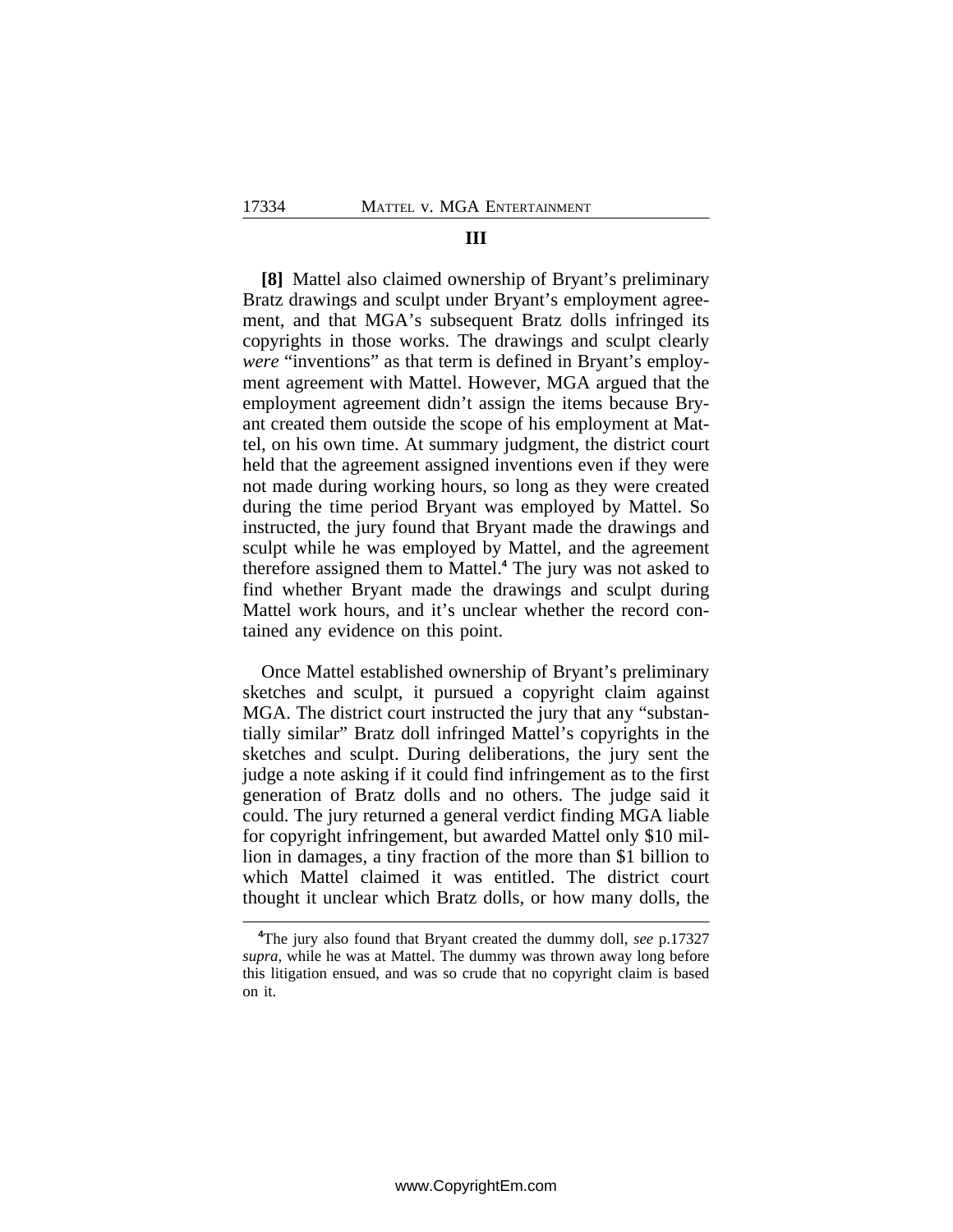#### **III**

**[8]** Mattel also claimed ownership of Bryant's preliminary Bratz drawings and sculpt under Bryant's employment agreement, and that MGA's subsequent Bratz dolls infringed its copyrights in those works. The drawings and sculpt clearly *were* "inventions" as that term is defined in Bryant's employment agreement with Mattel. However, MGA argued that the employment agreement didn't assign the items because Bryant created them outside the scope of his employment at Mattel, on his own time. At summary judgment, the district court held that the agreement assigned inventions even if they were not made during working hours, so long as they were created during the time period Bryant was employed by Mattel. So instructed, the jury found that Bryant made the drawings and sculpt while he was employed by Mattel, and the agreement therefore assigned them to Mattel.**<sup>4</sup>** The jury was not asked to find whether Bryant made the drawings and sculpt during Mattel work hours, and it's unclear whether the record contained any evidence on this point.

Once Mattel established ownership of Bryant's preliminary sketches and sculpt, it pursued a copyright claim against MGA. The district court instructed the jury that any "substantially similar" Bratz doll infringed Mattel's copyrights in the sketches and sculpt. During deliberations, the jury sent the judge a note asking if it could find infringement as to the first generation of Bratz dolls and no others. The judge said it could. The jury returned a general verdict finding MGA liable for copyright infringement, but awarded Mattel only \$10 million in damages, a tiny fraction of the more than \$1 billion to which Mattel claimed it was entitled. The district court thought it unclear which Bratz dolls, or how many dolls, the

**<sup>4</sup>**The jury also found that Bryant created the dummy doll, *see* p.17327 *supra*, while he was at Mattel. The dummy was thrown away long before this litigation ensued, and was so crude that no copyright claim is based on it.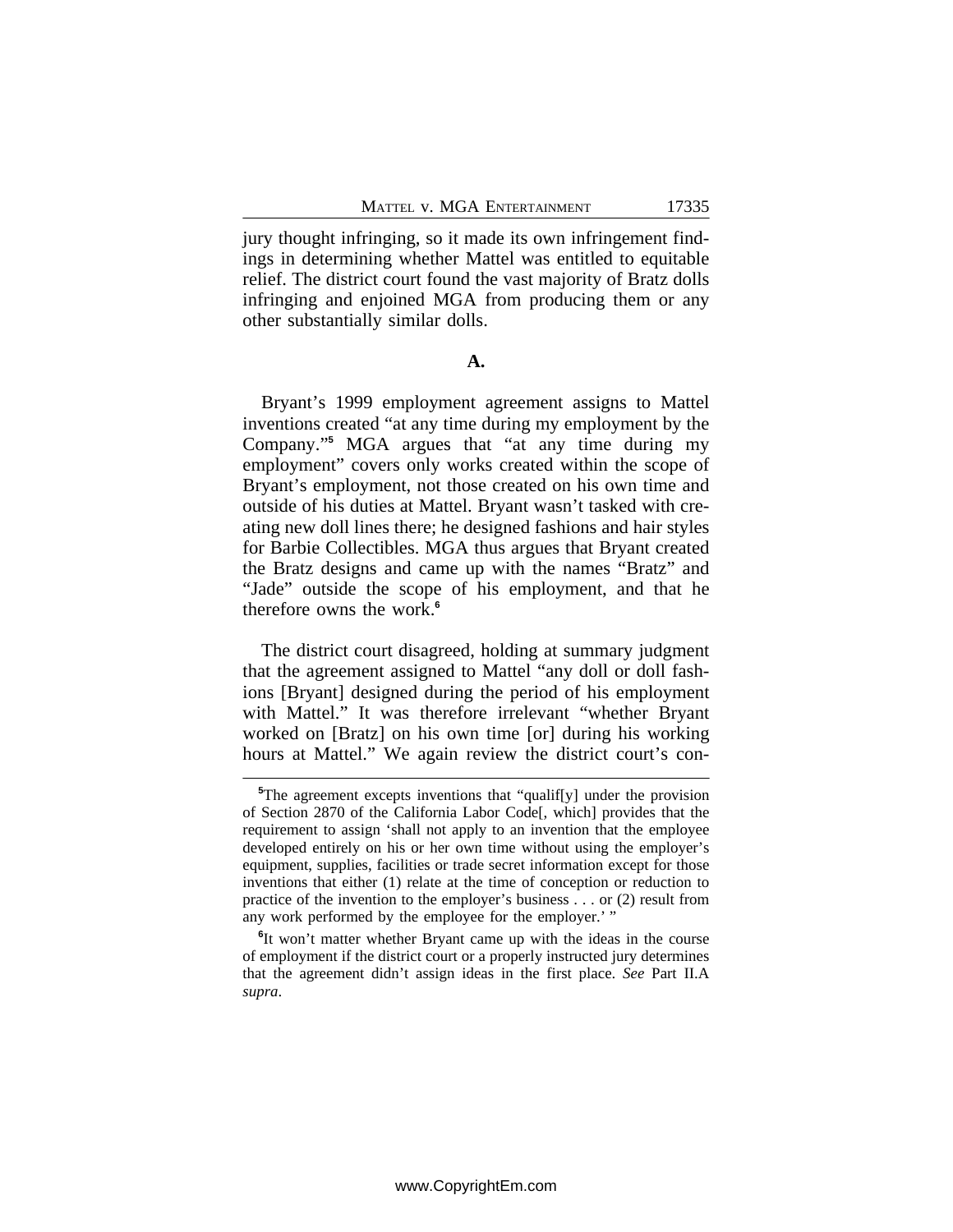jury thought infringing, so it made its own infringement findings in determining whether Mattel was entitled to equitable relief. The district court found the vast majority of Bratz dolls infringing and enjoined MGA from producing them or any other substantially similar dolls.

**A.**

Bryant's 1999 employment agreement assigns to Mattel inventions created "at any time during my employment by the Company."<sup>5</sup> MGA argues that "at any time during my employment" covers only works created within the scope of Bryant's employment, not those created on his own time and outside of his duties at Mattel. Bryant wasn't tasked with creating new doll lines there; he designed fashions and hair styles for Barbie Collectibles. MGA thus argues that Bryant created the Bratz designs and came up with the names "Bratz" and "Jade" outside the scope of his employment, and that he therefore owns the work.**<sup>6</sup>**

The district court disagreed, holding at summary judgment that the agreement assigned to Mattel "any doll or doll fashions [Bryant] designed during the period of his employment with Mattel." It was therefore irrelevant "whether Bryant worked on [Bratz] on his own time [or] during his working hours at Mattel." We again review the district court's con-

**<sup>5</sup>**The agreement excepts inventions that "qualif[y] under the provision of Section 2870 of the California Labor Code[, which] provides that the requirement to assign 'shall not apply to an invention that the employee developed entirely on his or her own time without using the employer's equipment, supplies, facilities or trade secret information except for those inventions that either (1) relate at the time of conception or reduction to practice of the invention to the employer's business . . . or (2) result from any work performed by the employee for the employer.' "

**<sup>6</sup>** It won't matter whether Bryant came up with the ideas in the course of employment if the district court or a properly instructed jury determines that the agreement didn't assign ideas in the first place. *See* Part II.A *supra*.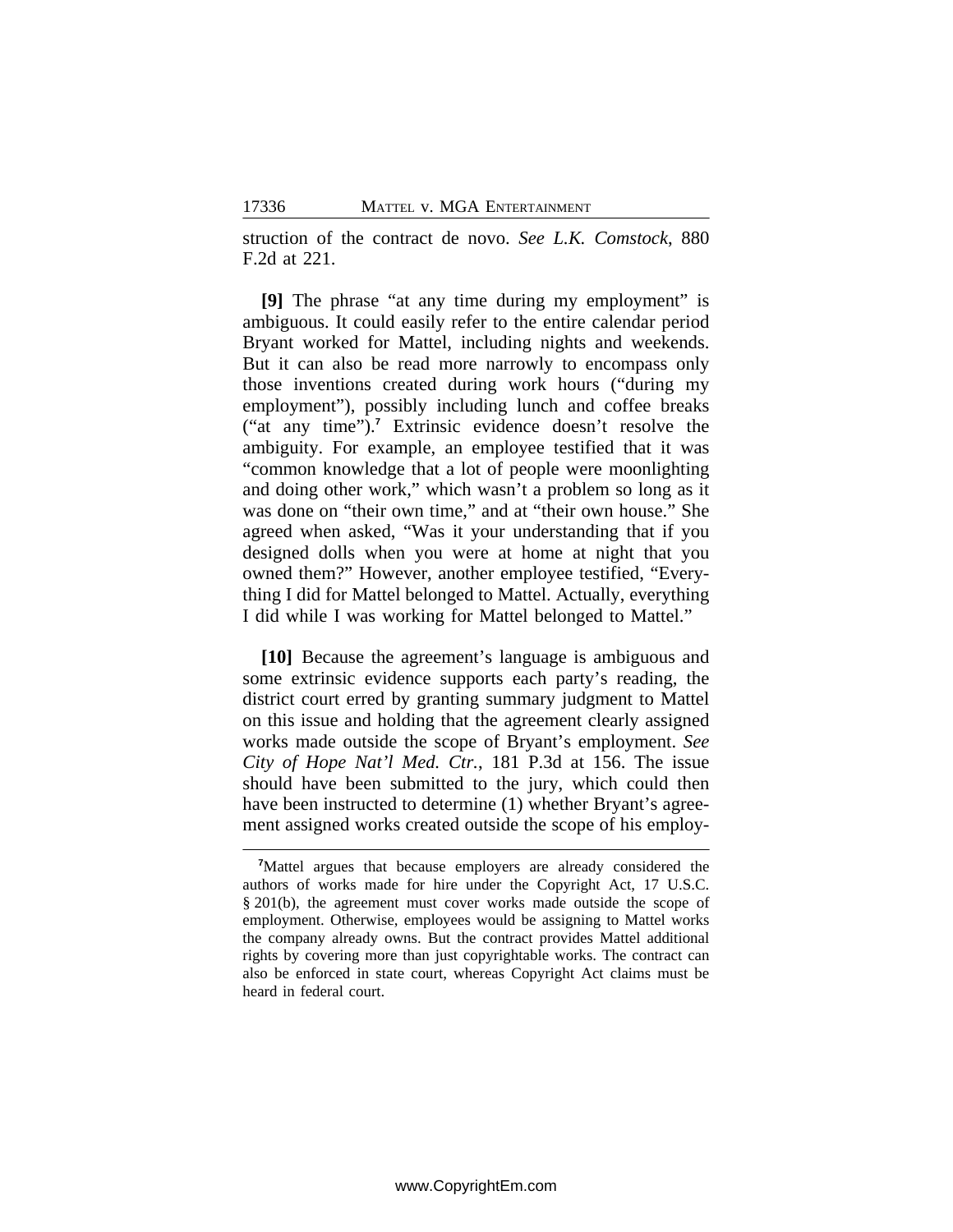struction of the contract de novo. *See L.K. Comstock*, 880 F.2d at 221.

**[9]** The phrase "at any time during my employment" is ambiguous. It could easily refer to the entire calendar period Bryant worked for Mattel, including nights and weekends. But it can also be read more narrowly to encompass only those inventions created during work hours ("during my employment"), possibly including lunch and coffee breaks ("at any time").**<sup>7</sup>** Extrinsic evidence doesn't resolve the ambiguity. For example, an employee testified that it was "common knowledge that a lot of people were moonlighting and doing other work," which wasn't a problem so long as it was done on "their own time," and at "their own house." She agreed when asked, "Was it your understanding that if you designed dolls when you were at home at night that you owned them?" However, another employee testified, "Everything I did for Mattel belonged to Mattel. Actually, everything I did while I was working for Mattel belonged to Mattel."

**[10]** Because the agreement's language is ambiguous and some extrinsic evidence supports each party's reading, the district court erred by granting summary judgment to Mattel on this issue and holding that the agreement clearly assigned works made outside the scope of Bryant's employment. *See City of Hope Nat'l Med. Ctr.*, 181 P.3d at 156. The issue should have been submitted to the jury, which could then have been instructed to determine (1) whether Bryant's agreement assigned works created outside the scope of his employ-

**<sup>7</sup>**Mattel argues that because employers are already considered the authors of works made for hire under the Copyright Act, 17 U.S.C. § 201(b), the agreement must cover works made outside the scope of employment. Otherwise, employees would be assigning to Mattel works the company already owns. But the contract provides Mattel additional rights by covering more than just copyrightable works. The contract can also be enforced in state court, whereas Copyright Act claims must be heard in federal court.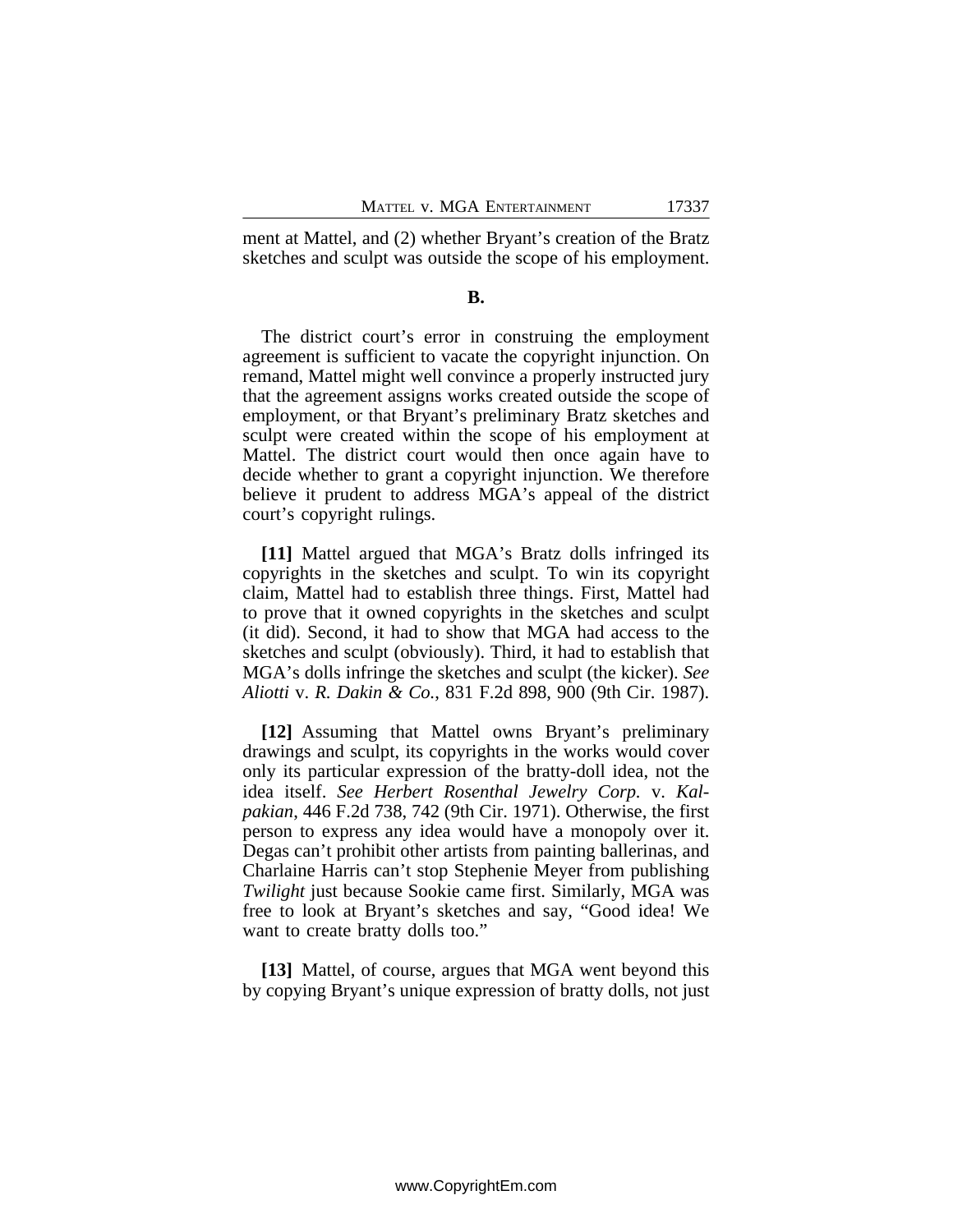ment at Mattel, and (2) whether Bryant's creation of the Bratz sketches and sculpt was outside the scope of his employment.

#### **B.**

The district court's error in construing the employment agreement is sufficient to vacate the copyright injunction. On remand, Mattel might well convince a properly instructed jury that the agreement assigns works created outside the scope of employment, or that Bryant's preliminary Bratz sketches and sculpt were created within the scope of his employment at Mattel. The district court would then once again have to decide whether to grant a copyright injunction. We therefore believe it prudent to address MGA's appeal of the district court's copyright rulings.

**[11]** Mattel argued that MGA's Bratz dolls infringed its copyrights in the sketches and sculpt. To win its copyright claim, Mattel had to establish three things. First, Mattel had to prove that it owned copyrights in the sketches and sculpt (it did). Second, it had to show that MGA had access to the sketches and sculpt (obviously). Third, it had to establish that MGA's dolls infringe the sketches and sculpt (the kicker). *See Aliotti* v. *R. Dakin & Co.*, 831 F.2d 898, 900 (9th Cir. 1987).

**[12]** Assuming that Mattel owns Bryant's preliminary drawings and sculpt, its copyrights in the works would cover only its particular expression of the bratty-doll idea, not the idea itself. *See Herbert Rosenthal Jewelry Corp.* v. *Kalpakian*, 446 F.2d 738, 742 (9th Cir. 1971). Otherwise, the first person to express any idea would have a monopoly over it. Degas can't prohibit other artists from painting ballerinas, and Charlaine Harris can't stop Stephenie Meyer from publishing *Twilight* just because Sookie came first. Similarly, MGA was free to look at Bryant's sketches and say, "Good idea! We want to create bratty dolls too."

**[13]** Mattel, of course, argues that MGA went beyond this by copying Bryant's unique expression of bratty dolls, not just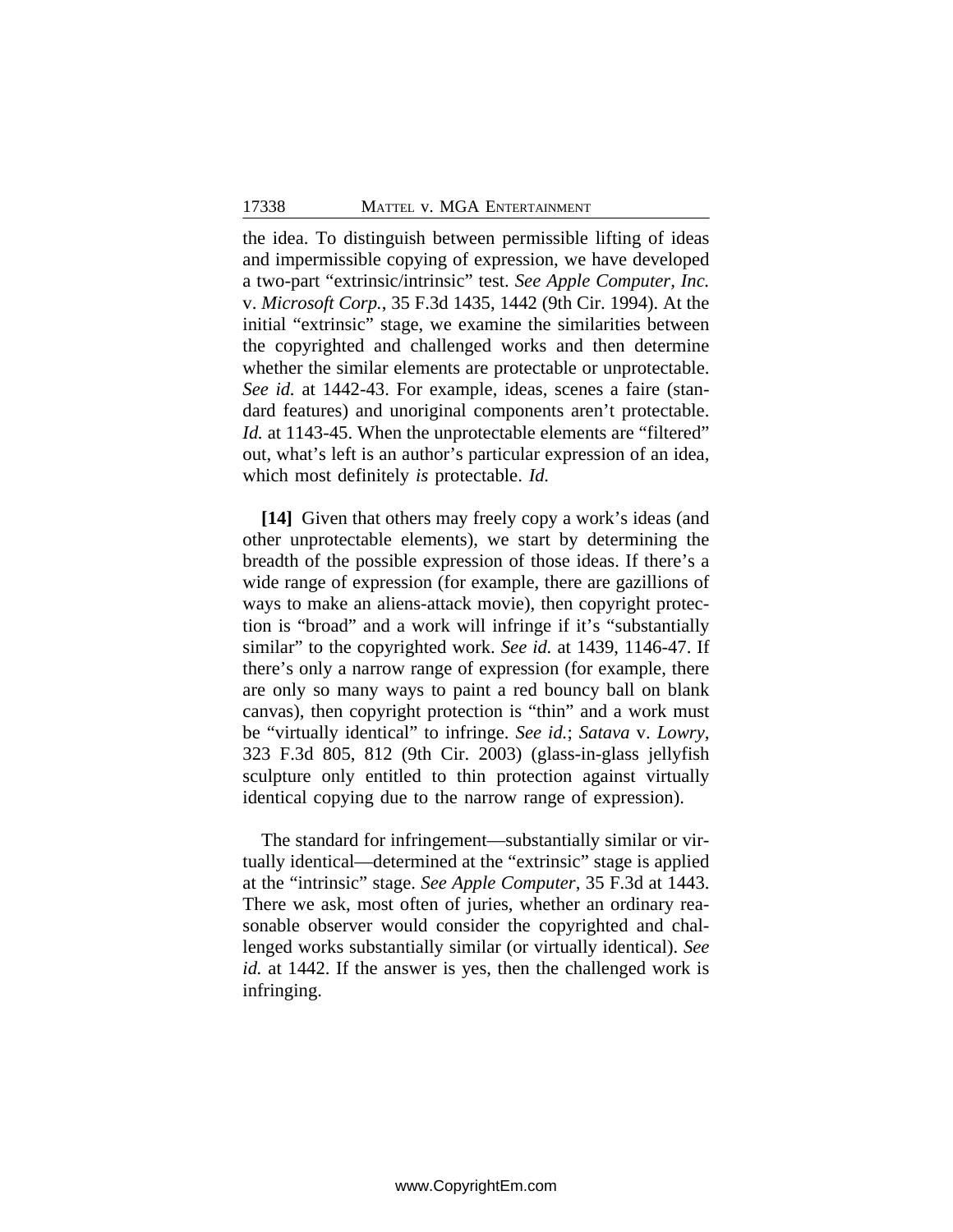the idea. To distinguish between permissible lifting of ideas and impermissible copying of expression, we have developed a two-part "extrinsic/intrinsic" test. *See Apple Computer, Inc.* v. *Microsoft Corp.*, 35 F.3d 1435, 1442 (9th Cir. 1994). At the initial "extrinsic" stage, we examine the similarities between the copyrighted and challenged works and then determine whether the similar elements are protectable or unprotectable. *See id.* at 1442-43. For example, ideas, scenes a faire (standard features) and unoriginal components aren't protectable. *Id.* at 1143-45. When the unprotectable elements are "filtered" out, what's left is an author's particular expression of an idea, which most definitely *is* protectable. *Id.*

**[14]** Given that others may freely copy a work's ideas (and other unprotectable elements), we start by determining the breadth of the possible expression of those ideas. If there's a wide range of expression (for example, there are gazillions of ways to make an aliens-attack movie), then copyright protection is "broad" and a work will infringe if it's "substantially similar" to the copyrighted work. *See id.* at 1439, 1146-47. If there's only a narrow range of expression (for example, there are only so many ways to paint a red bouncy ball on blank canvas), then copyright protection is "thin" and a work must be "virtually identical" to infringe. *See id.*; *Satava* v. *Lowry*, 323 F.3d 805, 812 (9th Cir. 2003) (glass-in-glass jellyfish sculpture only entitled to thin protection against virtually identical copying due to the narrow range of expression).

The standard for infringement—substantially similar or virtually identical—determined at the "extrinsic" stage is applied at the "intrinsic" stage. *See Apple Computer*, 35 F.3d at 1443. There we ask, most often of juries, whether an ordinary reasonable observer would consider the copyrighted and challenged works substantially similar (or virtually identical). *See id.* at 1442. If the answer is yes, then the challenged work is infringing.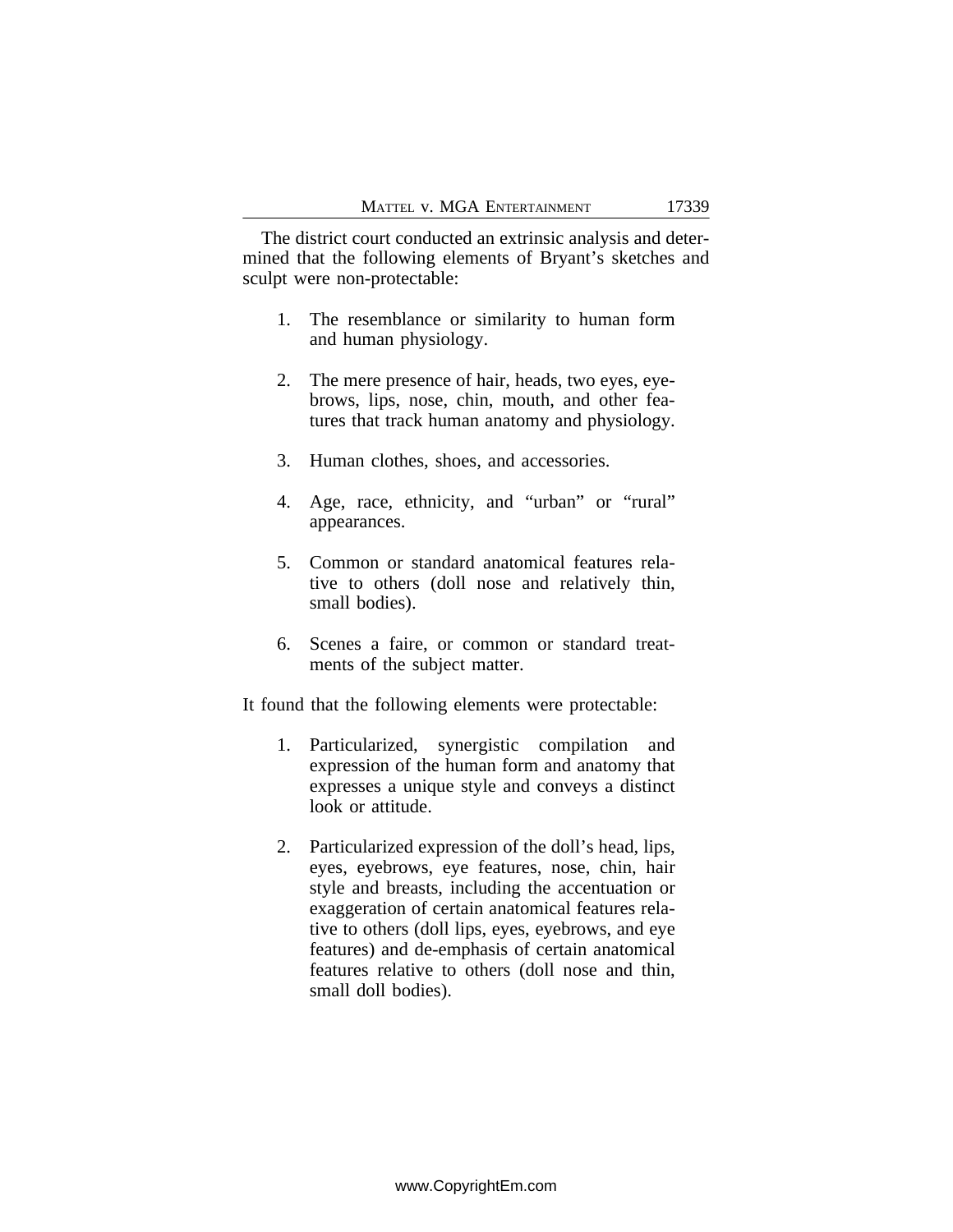The district court conducted an extrinsic analysis and determined that the following elements of Bryant's sketches and sculpt were non-protectable:

- 1. The resemblance or similarity to human form and human physiology.
- 2. The mere presence of hair, heads, two eyes, eyebrows, lips, nose, chin, mouth, and other features that track human anatomy and physiology.
- 3. Human clothes, shoes, and accessories.
- 4. Age, race, ethnicity, and "urban" or "rural" appearances.
- 5. Common or standard anatomical features relative to others (doll nose and relatively thin, small bodies).
- 6. Scenes a faire, or common or standard treatments of the subject matter.

It found that the following elements were protectable:

- 1. Particularized, synergistic compilation and expression of the human form and anatomy that expresses a unique style and conveys a distinct look or attitude.
- 2. Particularized expression of the doll's head, lips, eyes, eyebrows, eye features, nose, chin, hair style and breasts, including the accentuation or exaggeration of certain anatomical features relative to others (doll lips, eyes, eyebrows, and eye features) and de-emphasis of certain anatomical features relative to others (doll nose and thin, small doll bodies).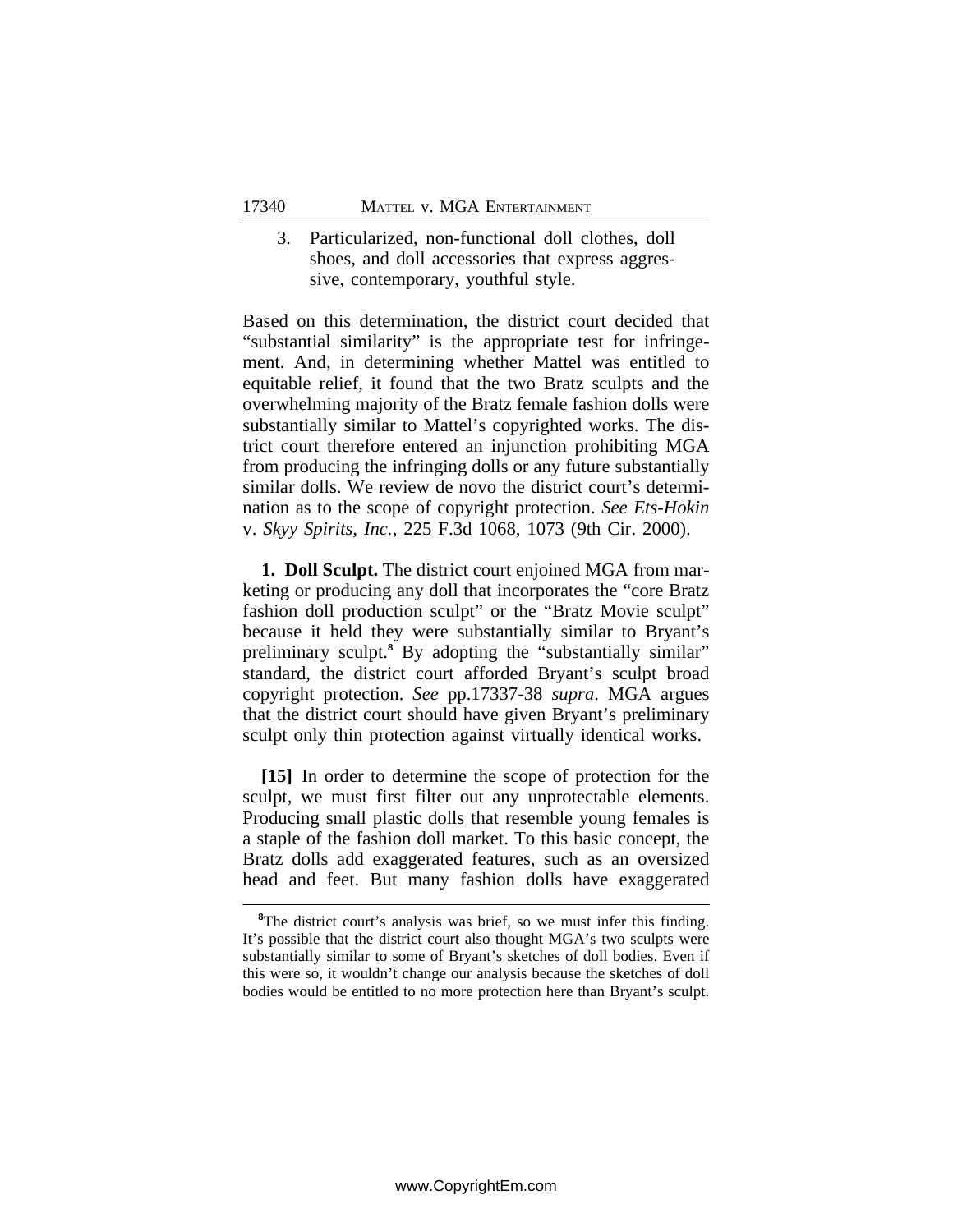## 3. Particularized, non-functional doll clothes, doll shoes, and doll accessories that express aggressive, contemporary, youthful style.

Based on this determination, the district court decided that "substantial similarity" is the appropriate test for infringement. And, in determining whether Mattel was entitled to equitable relief, it found that the two Bratz sculpts and the overwhelming majority of the Bratz female fashion dolls were substantially similar to Mattel's copyrighted works. The district court therefore entered an injunction prohibiting MGA from producing the infringing dolls or any future substantially similar dolls. We review de novo the district court's determination as to the scope of copyright protection. *See Ets-Hokin* v. *Skyy Spirits, Inc.*, 225 F.3d 1068, 1073 (9th Cir. 2000).

**1. Doll Sculpt.** The district court enjoined MGA from marketing or producing any doll that incorporates the "core Bratz fashion doll production sculpt" or the "Bratz Movie sculpt" because it held they were substantially similar to Bryant's preliminary sculpt.<sup>8</sup> By adopting the "substantially similar" standard, the district court afforded Bryant's sculpt broad copyright protection. *See* pp.17337-38 *supra*. MGA argues that the district court should have given Bryant's preliminary sculpt only thin protection against virtually identical works.

**[15]** In order to determine the scope of protection for the sculpt, we must first filter out any unprotectable elements. Producing small plastic dolls that resemble young females is a staple of the fashion doll market. To this basic concept, the Bratz dolls add exaggerated features, such as an oversized head and feet. But many fashion dolls have exaggerated

<sup>&</sup>lt;sup>8</sup>The district court's analysis was brief, so we must infer this finding. It's possible that the district court also thought MGA's two sculpts were substantially similar to some of Bryant's sketches of doll bodies. Even if this were so, it wouldn't change our analysis because the sketches of doll bodies would be entitled to no more protection here than Bryant's sculpt.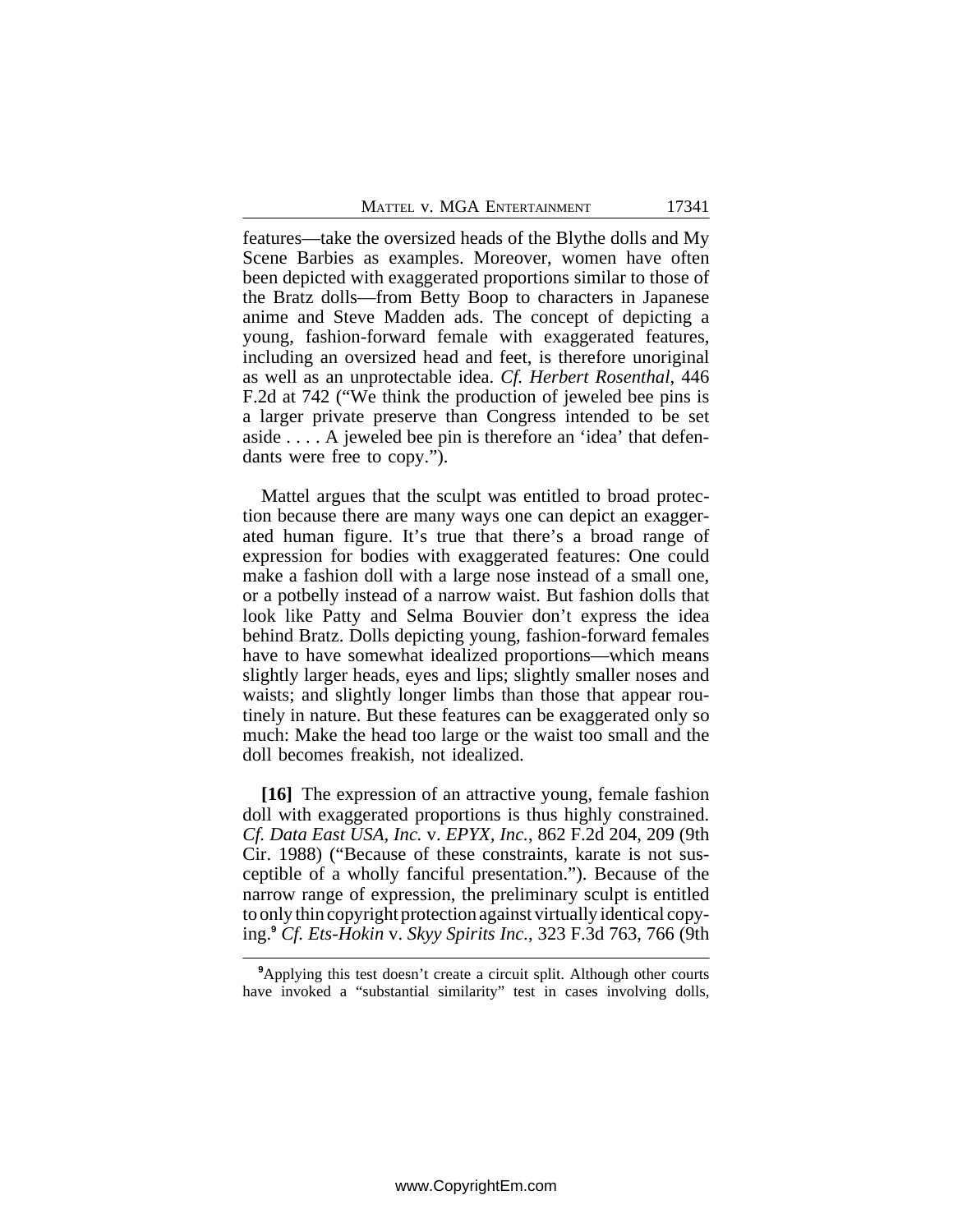features—take the oversized heads of the Blythe dolls and My Scene Barbies as examples. Moreover, women have often been depicted with exaggerated proportions similar to those of the Bratz dolls—from Betty Boop to characters in Japanese anime and Steve Madden ads. The concept of depicting a young, fashion-forward female with exaggerated features, including an oversized head and feet, is therefore unoriginal as well as an unprotectable idea. *Cf. Herbert Rosenthal*, 446 F.2d at 742 ("We think the production of jeweled bee pins is a larger private preserve than Congress intended to be set aside . . . . A jeweled bee pin is therefore an 'idea' that defendants were free to copy.").

Mattel argues that the sculpt was entitled to broad protection because there are many ways one can depict an exaggerated human figure. It's true that there's a broad range of expression for bodies with exaggerated features: One could make a fashion doll with a large nose instead of a small one, or a potbelly instead of a narrow waist. But fashion dolls that look like Patty and Selma Bouvier don't express the idea behind Bratz. Dolls depicting young, fashion-forward females have to have somewhat idealized proportions—which means slightly larger heads, eyes and lips; slightly smaller noses and waists; and slightly longer limbs than those that appear routinely in nature. But these features can be exaggerated only so much: Make the head too large or the waist too small and the doll becomes freakish, not idealized.

**[16]** The expression of an attractive young, female fashion doll with exaggerated proportions is thus highly constrained. *Cf. Data East USA, Inc.* v. *EPYX, Inc.*, 862 F.2d 204, 209 (9th Cir. 1988) ("Because of these constraints, karate is not susceptible of a wholly fanciful presentation."). Because of the narrow range of expression, the preliminary sculpt is entitled to only thin copyright protection against virtually identical copying.**<sup>9</sup>** *Cf. Ets-Hokin* v. *Skyy Spirits Inc.*, 323 F.3d 763, 766 (9th

<sup>&</sup>lt;sup>9</sup>Applying this test doesn't create a circuit split. Although other courts have invoked a "substantial similarity" test in cases involving dolls,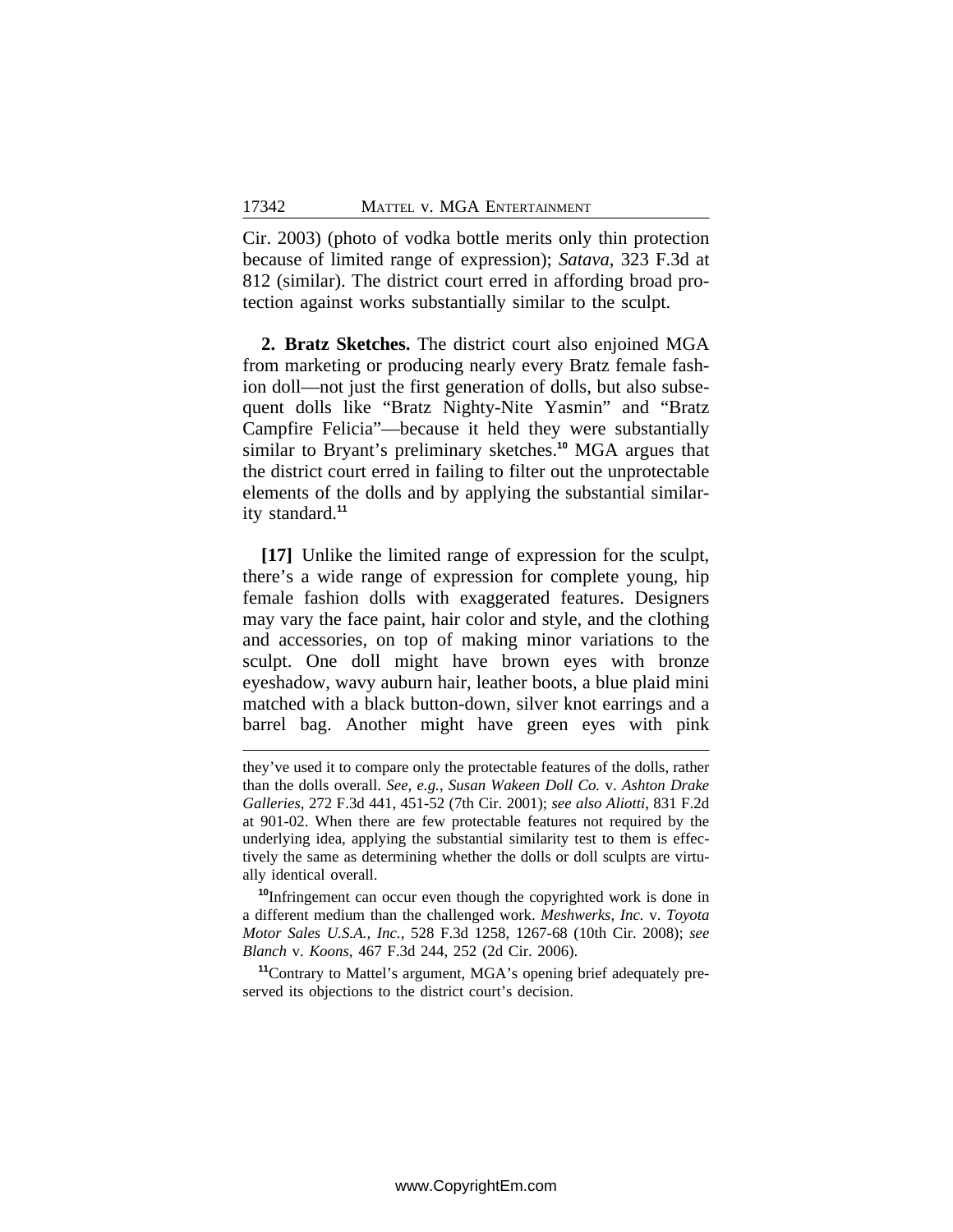Cir. 2003) (photo of vodka bottle merits only thin protection because of limited range of expression); *Satava*, 323 F.3d at 812 (similar). The district court erred in affording broad protection against works substantially similar to the sculpt.

**2. Bratz Sketches.** The district court also enjoined MGA from marketing or producing nearly every Bratz female fashion doll—not just the first generation of dolls, but also subsequent dolls like "Bratz Nighty-Nite Yasmin" and "Bratz Campfire Felicia"—because it held they were substantially similar to Bryant's preliminary sketches.**<sup>10</sup>** MGA argues that the district court erred in failing to filter out the unprotectable elements of the dolls and by applying the substantial similarity standard.**<sup>11</sup>**

**[17]** Unlike the limited range of expression for the sculpt, there's a wide range of expression for complete young, hip female fashion dolls with exaggerated features. Designers may vary the face paint, hair color and style, and the clothing and accessories, on top of making minor variations to the sculpt. One doll might have brown eyes with bronze eyeshadow, wavy auburn hair, leather boots, a blue plaid mini matched with a black button-down, silver knot earrings and a barrel bag. Another might have green eyes with pink

they've used it to compare only the protectable features of the dolls, rather than the dolls overall. *See, e.g.*, *Susan Wakeen Doll Co.* v. *Ashton Drake Galleries*, 272 F.3d 441, 451-52 (7th Cir. 2001); *see also Aliotti*, 831 F.2d at 901-02. When there are few protectable features not required by the underlying idea, applying the substantial similarity test to them is effectively the same as determining whether the dolls or doll sculpts are virtually identical overall.

**<sup>10</sup>**Infringement can occur even though the copyrighted work is done in a different medium than the challenged work. *Meshwerks, Inc.* v. *Toyota Motor Sales U.S.A., Inc.*, 528 F.3d 1258, 1267-68 (10th Cir. 2008); *see Blanch* v. *Koons*, 467 F.3d 244, 252 (2d Cir. 2006).

**<sup>11</sup>**Contrary to Mattel's argument, MGA's opening brief adequately preserved its objections to the district court's decision.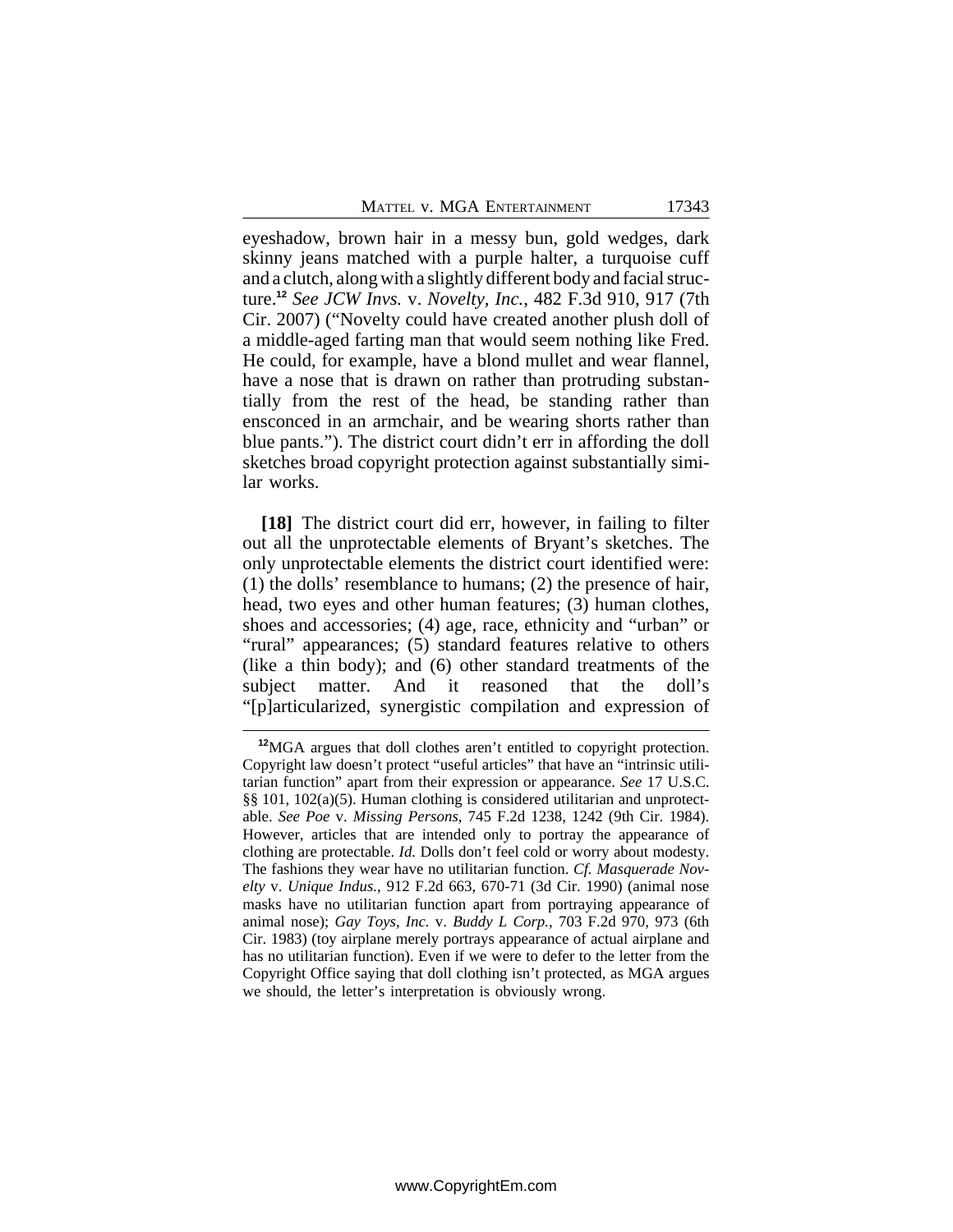MATTEL V. MGA ENTERTAINMENT 17343

eyeshadow, brown hair in a messy bun, gold wedges, dark skinny jeans matched with a purple halter, a turquoise cuff and a clutch, along with a slightly different body and facial structure.**<sup>12</sup>** *See JCW Invs.* v. *Novelty, Inc.*, 482 F.3d 910, 917 (7th Cir. 2007) ("Novelty could have created another plush doll of a middle-aged farting man that would seem nothing like Fred. He could, for example, have a blond mullet and wear flannel, have a nose that is drawn on rather than protruding substantially from the rest of the head, be standing rather than ensconced in an armchair, and be wearing shorts rather than blue pants."). The district court didn't err in affording the doll sketches broad copyright protection against substantially similar works.

**[18]** The district court did err, however, in failing to filter out all the unprotectable elements of Bryant's sketches. The only unprotectable elements the district court identified were: (1) the dolls' resemblance to humans; (2) the presence of hair, head, two eyes and other human features; (3) human clothes, shoes and accessories; (4) age, race, ethnicity and "urban" or "rural" appearances; (5) standard features relative to others (like a thin body); and (6) other standard treatments of the subject matter. And it reasoned that the doll's "[p]articularized, synergistic compilation and expression of

**<sup>12</sup>**MGA argues that doll clothes aren't entitled to copyright protection. Copyright law doesn't protect "useful articles" that have an "intrinsic utilitarian function" apart from their expression or appearance. *See* 17 U.S.C. §§ 101, 102(a)(5). Human clothing is considered utilitarian and unprotectable. *See Poe* v. *Missing Persons*, 745 F.2d 1238, 1242 (9th Cir. 1984). However, articles that are intended only to portray the appearance of clothing are protectable. *Id.* Dolls don't feel cold or worry about modesty. The fashions they wear have no utilitarian function. *Cf. Masquerade Novelty* v. *Unique Indus.*, 912 F.2d 663, 670-71 (3d Cir. 1990) (animal nose masks have no utilitarian function apart from portraying appearance of animal nose); *Gay Toys, Inc.* v. *Buddy L Corp.*, 703 F.2d 970, 973 (6th Cir. 1983) (toy airplane merely portrays appearance of actual airplane and has no utilitarian function). Even if we were to defer to the letter from the Copyright Office saying that doll clothing isn't protected, as MGA argues we should, the letter's interpretation is obviously wrong.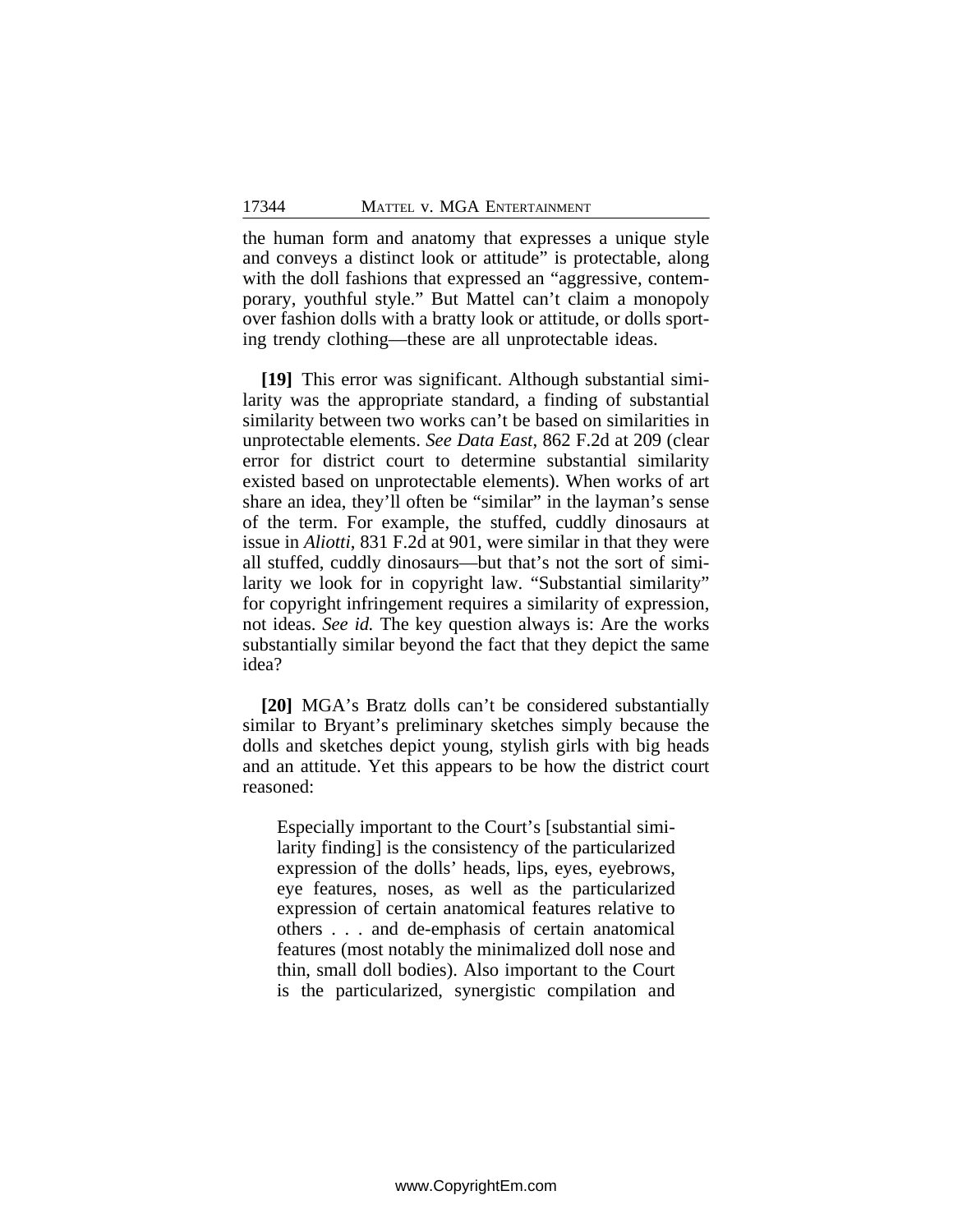the human form and anatomy that expresses a unique style and conveys a distinct look or attitude" is protectable, along with the doll fashions that expressed an "aggressive, contemporary, youthful style." But Mattel can't claim a monopoly over fashion dolls with a bratty look or attitude, or dolls sporting trendy clothing—these are all unprotectable ideas.

**[19]** This error was significant. Although substantial similarity was the appropriate standard, a finding of substantial similarity between two works can't be based on similarities in unprotectable elements. *See Data East*, 862 F.2d at 209 (clear error for district court to determine substantial similarity existed based on unprotectable elements). When works of art share an idea, they'll often be "similar" in the layman's sense of the term. For example, the stuffed, cuddly dinosaurs at issue in *Aliotti*, 831 F.2d at 901, were similar in that they were all stuffed, cuddly dinosaurs—but that's not the sort of similarity we look for in copyright law. "Substantial similarity" for copyright infringement requires a similarity of expression, not ideas. *See id.* The key question always is: Are the works substantially similar beyond the fact that they depict the same idea?

**[20]** MGA's Bratz dolls can't be considered substantially similar to Bryant's preliminary sketches simply because the dolls and sketches depict young, stylish girls with big heads and an attitude. Yet this appears to be how the district court reasoned:

Especially important to the Court's [substantial similarity finding] is the consistency of the particularized expression of the dolls' heads, lips, eyes, eyebrows, eye features, noses, as well as the particularized expression of certain anatomical features relative to others . . . and de-emphasis of certain anatomical features (most notably the minimalized doll nose and thin, small doll bodies). Also important to the Court is the particularized, synergistic compilation and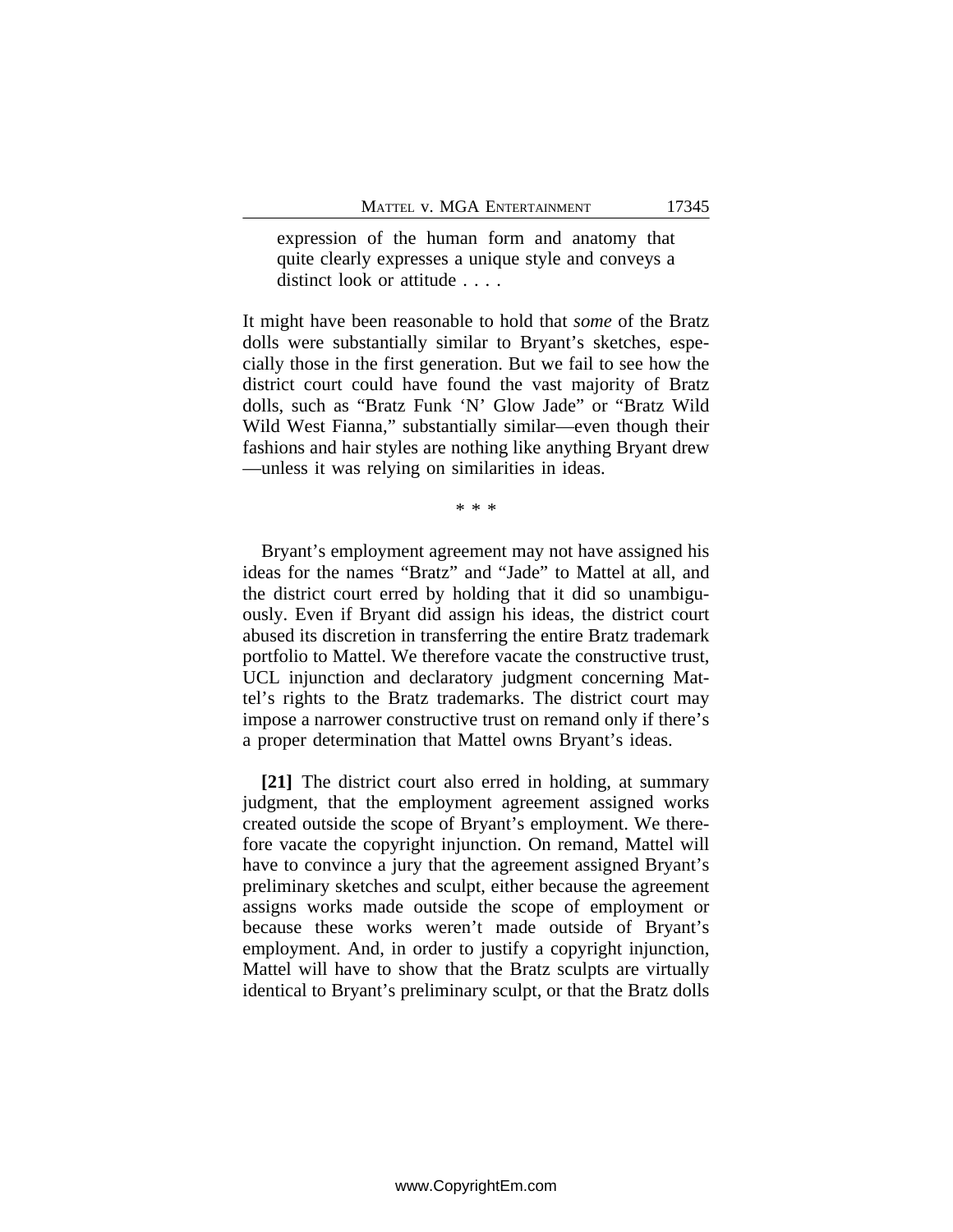expression of the human form and anatomy that quite clearly expresses a unique style and conveys a distinct look or attitude . . . .

It might have been reasonable to hold that *some* of the Bratz dolls were substantially similar to Bryant's sketches, especially those in the first generation. But we fail to see how the district court could have found the vast majority of Bratz dolls, such as "Bratz Funk 'N' Glow Jade" or "Bratz Wild Wild West Fianna," substantially similar—even though their fashions and hair styles are nothing like anything Bryant drew —unless it was relying on similarities in ideas.

\* \* \*

Bryant's employment agreement may not have assigned his ideas for the names "Bratz" and "Jade" to Mattel at all, and the district court erred by holding that it did so unambiguously. Even if Bryant did assign his ideas, the district court abused its discretion in transferring the entire Bratz trademark portfolio to Mattel. We therefore vacate the constructive trust, UCL injunction and declaratory judgment concerning Mattel's rights to the Bratz trademarks. The district court may impose a narrower constructive trust on remand only if there's a proper determination that Mattel owns Bryant's ideas.

**[21]** The district court also erred in holding, at summary judgment, that the employment agreement assigned works created outside the scope of Bryant's employment. We therefore vacate the copyright injunction. On remand, Mattel will have to convince a jury that the agreement assigned Bryant's preliminary sketches and sculpt, either because the agreement assigns works made outside the scope of employment or because these works weren't made outside of Bryant's employment. And, in order to justify a copyright injunction, Mattel will have to show that the Bratz sculpts are virtually identical to Bryant's preliminary sculpt, or that the Bratz dolls